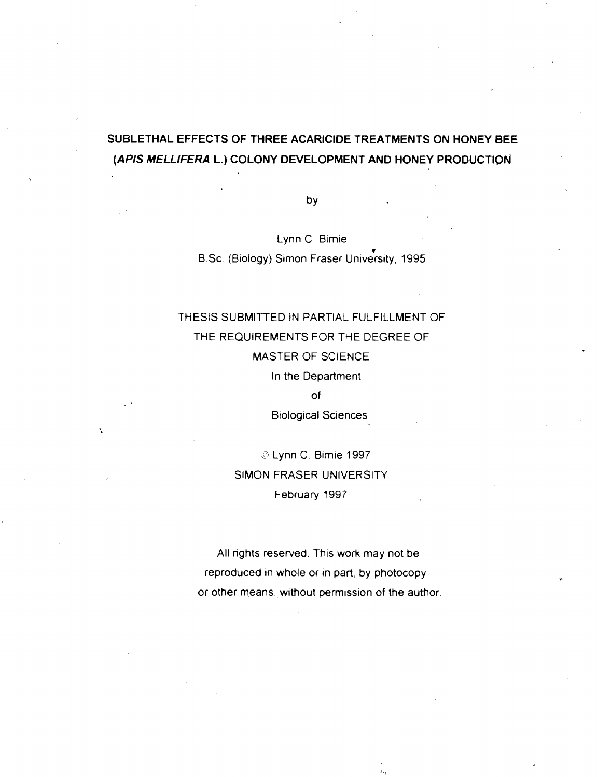## **SUBLETHAL EFFECTS OF THREE ACARlClDE TREATMENTS ON HONEY BEE (APIS MELLIFERA L.) COLONY DEVELOPMENT AND HONEY PRODUCTION**

by

Lynn C. Bimie **v**  B.Sc. (Biology) Simon Fraser University, 1995

## THESIS SUBMITTED IN PARTIAL FULFILLMENT OF THE REQUIREMENTS FOR THE DEGREE OF MASTER OF SCIENCE In the Department

of

Biological Sciences

*O* Lynn C. Bimie 1997 SIMON FRASER UNIVERSITY February 1997

All rights reserved. This work may not be reproduced in whole or in part, by photocopy or other means, without permission of the author.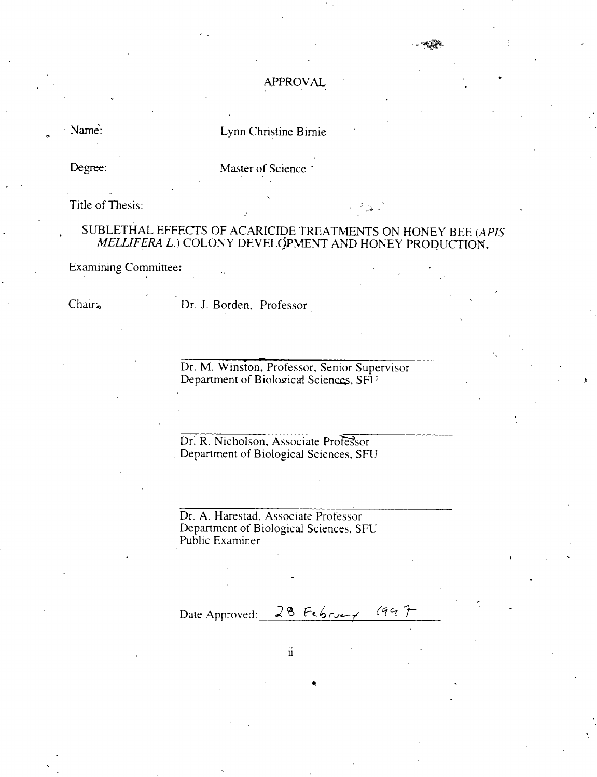#### APPROVAL

· Name:

### Lynn Christine Birnie

Degree:

Master of Science

Title of Thesis:

## SUBLETHAL EFFECTS OF ACARICIDE TREATMENTS ON HONEY BEE *(APIS MEUFERA L.)* COLONY DEVELOPMENT AND HONEY PRODUCTION.

Examining Committee:

-

Chair, Dr. J. Borden. Professor

Dr. M. Winston, Professor, Senior Supervisor Department of Biological Sciences, SFI<sup>1</sup>

~~~~~-~...~ Dr. R. Nicholson, Associate Professor Department of Biological Sciences, SFU

Dr. A. Harestad, Associate Professor Department of Biological Sciences, SFU Public Examiner

Date Approved: 28 February  $(997$ 

 $\ddot{\mathbf{u}}$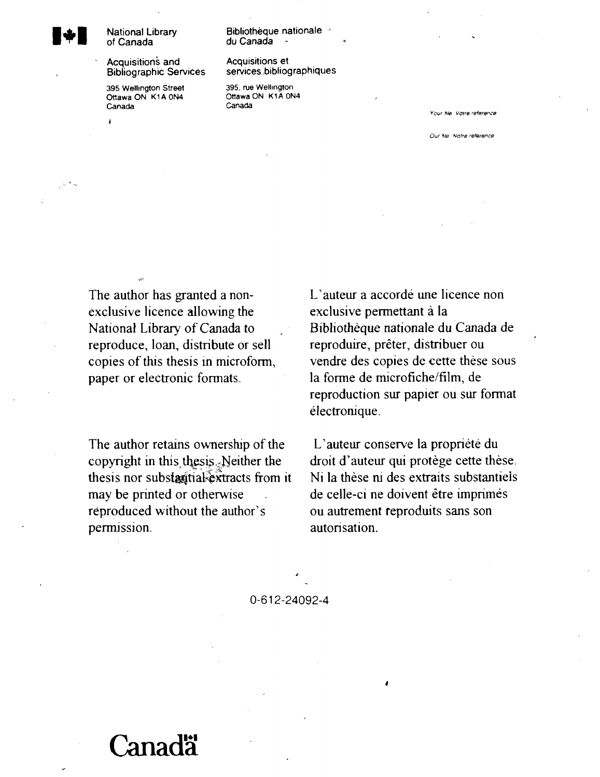# **National Library of Canada**

**Bibliographic Services** 

**395 Wellington Street 395, rue Wellington <br>
Ottawa ON K1A 0N4 Ottawa ON K1A 0N4 OnawaON KlAON4 Ottawa ON K 1 A ON4**  Canada

**r.-** 

**Bibliotheque nationale** , **du Canada** - **<sup>a</sup>**

## **~cquisitions and Acquisitions et**

**Your** *hie* **Vocre reference** 

**Our** *file* **Notre reterence** 

The author has granted a nonexclusive licence allowing the National Library of Canada to reproduce, loan, distribute or sell copies of this thesis in microform, paper or electronic formats.

The author retains ownership of the copyright in this thesis.<sub>2</sub>Neither the thesis nor substantial-extracts from it may be printed or otherwise reproduced without the author's permission.

L'auteur a accordé une licence non exclusive permettant à la Bibliotheque nationale du Canada de reproduire, preter, distribuer ou vendre des copies de cette these sous la forme de microfiche/film, de reproduction sur papier ou sur format electronique.

L'auteur conserve la propriété du droit d'auteur qui protège cette thèse. Ni la these ni des extraits substantiels de celle-ci ne doivent être imprimés ou autrement reproduits sans son autorisation.

0-612-24092-4

# anadä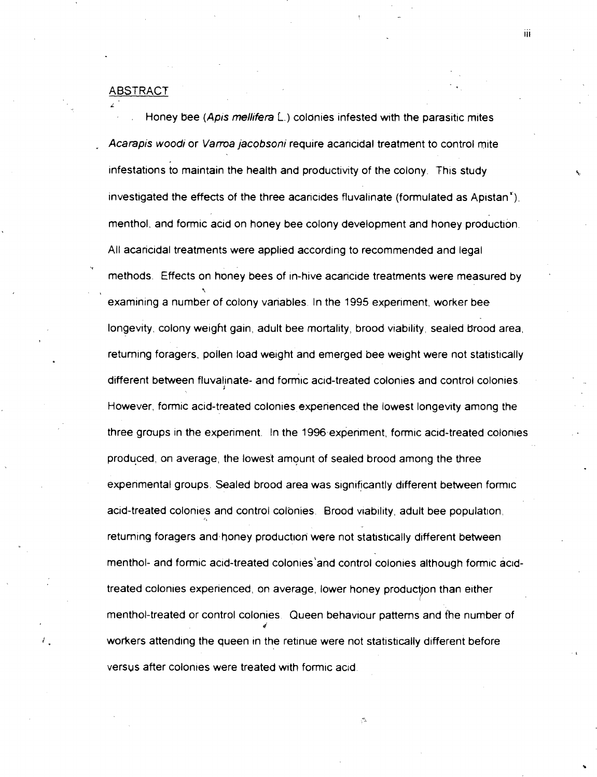#### **ABSTRACT**

**i** 

Y

Honey bee (Apis mellifera L.) colonies infested with the parasitic mites Acarapis woodi or Varroa jacobsoni require acancidal treatment to control mite infestations to maintain the health and productivity of the colony. This study investigated the effects of the three acancides fluvalinate (formulated as Apistan $^{*}$ ). menthol, and formic acid on honey bee colony development and honey production. All acancidal treatments were applied according to recommended and legal methods. Effects on honey bees of in-hive acaricide treatments were measured by **2**  examining a number of colony vanables. In the 1995 expenrnent, worker bee longevity, colony weight gain, adult bee mortality, brood viability, sealed brood area, returning foragers, pollen load weight and emerged bee weight were not statistically different between fluvalinate- and formic acid-treated colonies and control colonies. However, formic acid-treated colonies experienced the lowest longevity among the three groups in the experiment. In the 1996 experiment, formic acid-treated colonies produced, on average, the lowest amount of sealed brood among the three experimental groups. Sealed brood area was significantly different between formic acid-treated colonies and control colonies. Brood viability, adult bee population, returning foragers and honey production were not statistically different between menthol- and formic acid-treated colonies'and control colonies although formic acidtreated colonies experienced, on average, lower honey production than either menthol-treated or control colonies. Queen behaviour patterns and the number of 4 workers attending the queen in the retinue were not statistically different before versus after colonies were treated with formic acid.

ΪĤ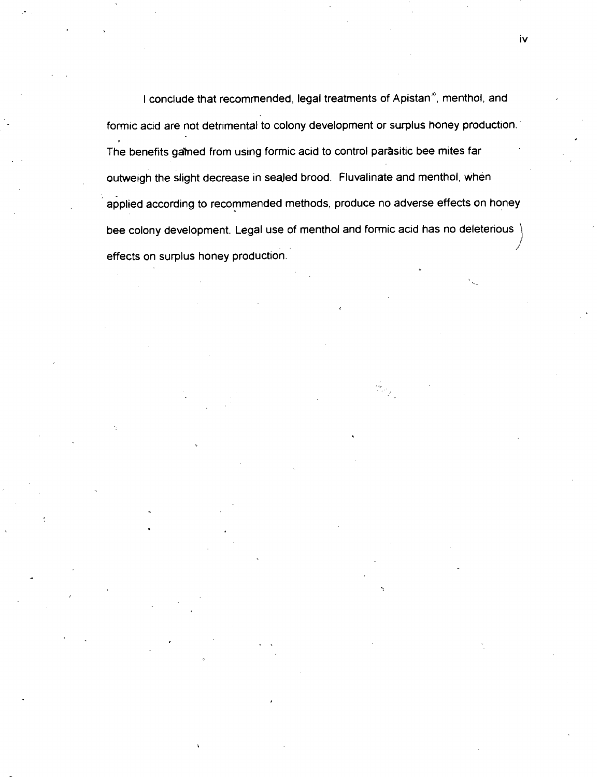I conclude that recommended, legal treatments of Apistan<sup>\*</sup>, menthol, and formic acid are not detrimental to colony development or surplus honey production The benefits galned from using formic acid to control parasitic bee mites far outweigh the slight decrease in sealed brood. Fluvalinate and menthol, when applied according to recommended methods, produce no adverse effects on honey bee colony development. Legal use of menthol and formic acid has no deleterious effects on surplus honey production.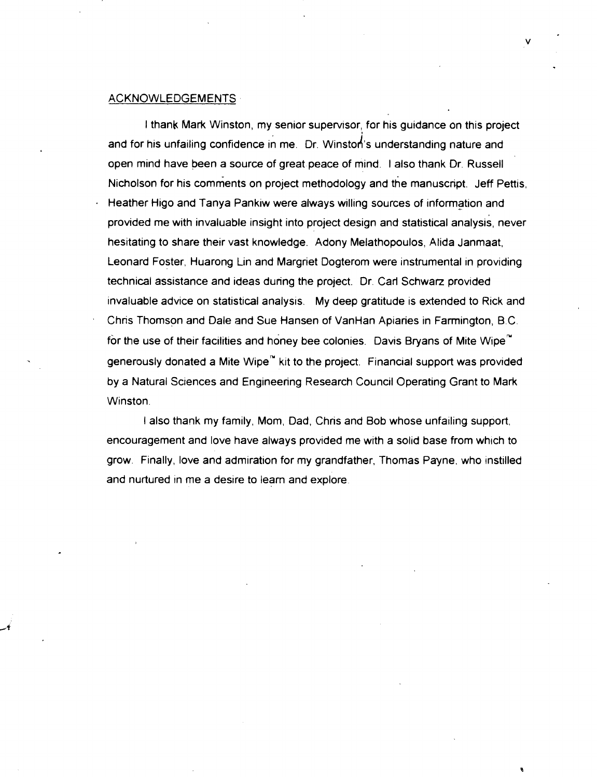#### ACKNOWLEDGEMENTS

I thank Mark Winston, my senior supervisor, for his guidance on this project and for his unfailing confidence in me. Dr. Winston's understanding nature and open mind have been a source of great peace of mind. I also thank Dr. Russell Nicholson for his comments on project methodology and the manuscript. Jeff Pettis. Heather Higo and Tanya Pankiw were always willing sources of information and provided me with invaluable insight into project design and statistical analysis, never hesitating to share their vast knowledge. Adony Melathopoulos, Atida Janmaat, Leonard Foster, Huarong Lin and Margriet Dogterom were instrumental in providing technical assistance and ideas during the project. Dr. Carl Schwarz provided invaluable advice on statistical analysis. My deep gratitude is extended to Rick and Chris Thomson and Dale and Sue Hansen of VanHan Apiaries in Farmington, B.C. for the use of their facilities and honey bee colonies. Davis Bryans of Mite Wipe $^{\prime\prime}$ generously donated a Mite Wipe<sup>m</sup> kit to the project. Financial support was provided by a Natural Sciences and Engineering Research Council Operating Grant to Mark Winston.

I also thank my family, Mom, Dad, Chris and Bob whose unfailing support, encouragement and love have always provided me with a solid base from which to grow. Finally, love and admiration for my grandfather, Thomas Payne, who instilled and nurtured in me a desire to learn and explore.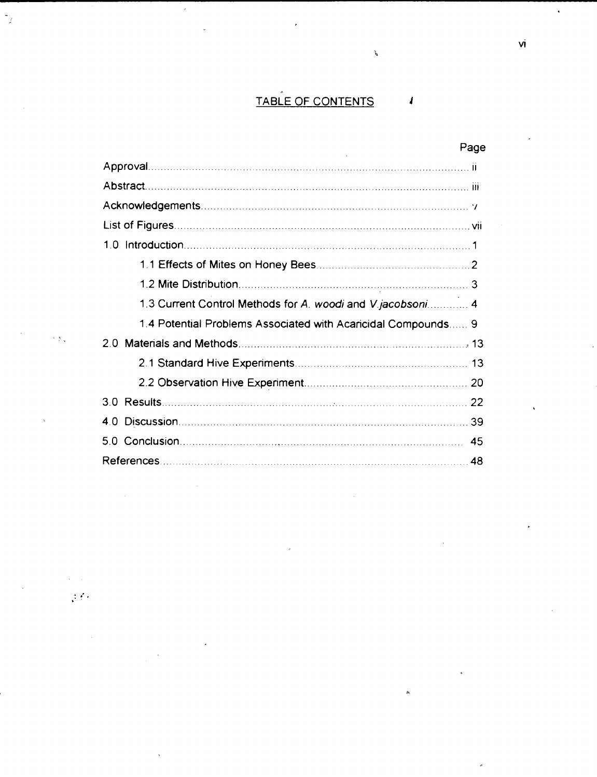#### TABLE OF CONTENTS  $\pmb{I}$

 $\label{eq:3} \boldsymbol{\rho}^{\text{M}}$ 

|                                                               | Page |
|---------------------------------------------------------------|------|
|                                                               |      |
|                                                               |      |
|                                                               |      |
|                                                               |      |
|                                                               |      |
|                                                               |      |
|                                                               |      |
| 1.3 Current Control Methods for A. woodi and V.jacobsoni 4    |      |
| 1.4 Potential Problems Associated with Acaricidal Compounds 9 |      |
|                                                               |      |
|                                                               |      |
|                                                               |      |
|                                                               |      |
|                                                               |      |
|                                                               | 45   |
|                                                               | 48   |

 $\gamma_j$ 

 $\leq 5$  .

 $\sim$   $\sim$  $\frac{1}{2}$  (  $\frac{1}{2}$  vi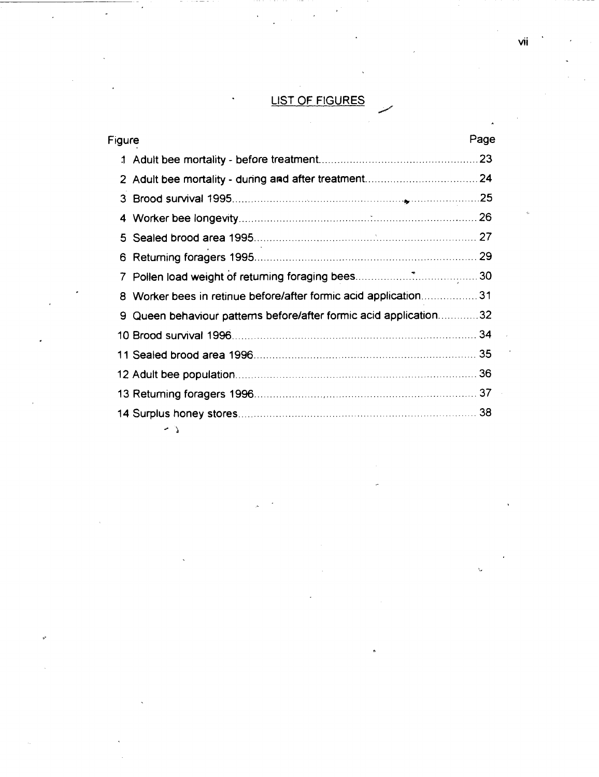## LIST OF FIGURES

| Figure |                                                                 | Page |
|--------|-----------------------------------------------------------------|------|
|        |                                                                 | 23   |
|        |                                                                 |      |
| 3      |                                                                 |      |
| 4      |                                                                 |      |
| 5.     |                                                                 |      |
| 6      |                                                                 |      |
| 7      |                                                                 |      |
| 8      | Worker bees in retinue before/after formic acid application31   |      |
| 9.     | Queen behaviour patterns before/after formic acid application32 |      |
|        |                                                                 |      |
|        |                                                                 |      |
|        |                                                                 | 36   |
|        |                                                                 |      |
|        |                                                                 |      |
|        | - 2                                                             |      |

vii

Ù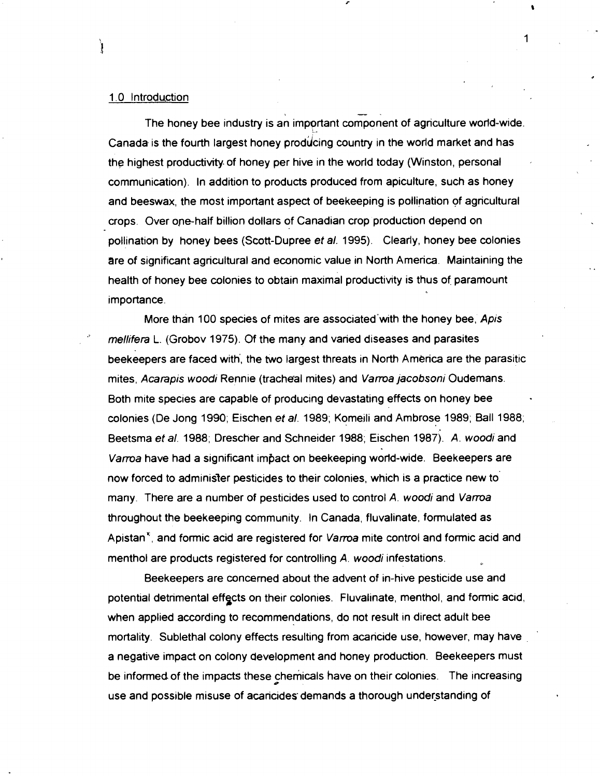#### 1.0 Introduction

Ì

The honey bee industry is an important component of agriculture world-wide. Canada is the fourth largest honey producing country in the world market and has the highest productivity of honey per hive in the world today (Winston, personal communication). In addition to products produced from apiculture, such as honey and beeswax, the most important aspect of beekeeping is pollination of agricultural crops. Over ope-half billion dollars of Canadian crop production depend on pollination by honey bees (Scott-Dupree et al. 1995). Clearly, honey bee colonies are of significant agricultural and economic value in North America. Maintaining the health of honey bee colonies to obtain maximal productivity is thus of paramount importance.

-.

More than 100 species of mites are associated with the honey bee, Apis mellifera L. (Grobov 1975). Of the many and varied diseases and parasites beekeepers are faced with', the two largest threats in North America are the parasitic mites, Acarapis woodi Rennie (tracheal mites) and Vama jacobsoni Oudemans. Both mite species are capable of producing devastating effects on honey bee colonies (De Jong 1990; Eischen et a/. 1989; Komeili and Ambrose 1989; Ball 1988; Beetsma et al. 1988; Drescher and Schneider 1988; Eischen 1987). A. woodi and Vama have had a significant impact on beekeeping world-wide. Beekeepers are now forced to administer pesticides to their colonies, which is a practice new to many. There are a number of pesticides used to control A. woodi and Varroa throughout the beekeeping community. In Canada, fluvalinate, formulated as Apistan<sup>\*</sup>, and formic acid are registered for Varroa mite control and formic acid and menthol are products registered for controlling A. woodi infestations.

Beekeepers are concerned about the advent of in-hive pesticide use and potential detrimental effects on their colonies. Fluvalinate, menthol, and formic acid, when applied according to recommendations, do not result in direct adult bee mortality. Sublethal colony effects resulting from acaricide use, however, may have a negative impact on colony development and honey production. Beekeepers must be informed of the impacts these chemicals have on their colonies. The increasing **<sup>0</sup>** use and possible misuse of acaricides demands a thorough understanding of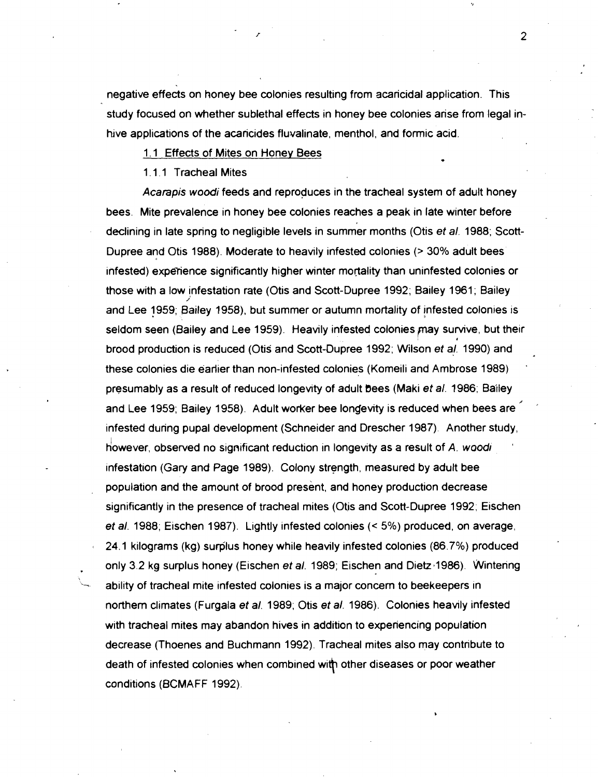negative effects on honey bee colonies resulting from acaricidal application. This study focused on whether sublethal effects in honey bee colonies arise from legal inhive applications of the acaricides fluvalinate, menthol, and formic acid.

1.1 Effects of Mites on Honey Bees

1.1.1 Tracheal Mites

Acarapis wood; feeds and reproduces in the tracheal system of adult honey bees. Mite prevalence in honey bee colonies reaches a peak in late winter before declining in late spring to negligible levels in summer months (Otis **et** a/. 1988; Scott-Dupree and Otis 1988). Moderate to heavily infested colonies (> 30% adult bees infested) experience significantly higher winter mortality than uninfested colonies or those with a low infestation rate (Otis and Scott-Dupree 1992; Bailey 1961 ; Bailey **i**  and Lee 1959; Bailey 1958), but summer or autumn mortality of jnfested colonies is seldom seen (Bailey and Lee 1959). Heavily infested colonies may survive, but their brood production is reduced (Otis and Scott-Dupree 1992; Wilson **et a/.** 1990) and these colonies die earlier than non-infested colonies (Komeili and Ambrose 1989) ' presumably as a result of reduced longevity of adult bees (Maki **et** a/. 1986; Bailey and Lee 1959; Bailey 1958). Adult worker bee longevity is reduced when bees are infested during pupal development (Schneider and Drescher 1987). Another study, however, observed no significant reduction in longevity as a result of A. woodi infestation (Gary and Page 1989). Colony strength, measured by adult bee population and the amount of brood present, and honey production decrease significantly in the presence of tracheal mites (Otis and Scott-Dupree 1992; Eischen **et** a/. 1988; Eischen 1987). Lightly infested colonies (< 5%) produced, on average, 24.1 kilograms (kg) surplus honey while heavily infested colonies (86.7%) produced only 3.2 kg surplus honey (Eischen *et al.* 1989; Eischen and Dietz<sup>,</sup> 1986). Wintering<br>
- ability of tracheal mite infested colonies is a major concern to beekeepers in northern climates (Furgala **et** a/. 1989; Otis **et a/.** 1986). Colonies heavily infested with tracheal mites may abandon hives in addition to experiencing population decrease (Thoenes and Buchmann 1992). Tracheal mites also may contribute to death of infested colonies when combined with other diseases or poor weather conditions (BCMAFF 1992).

 $\overline{2}$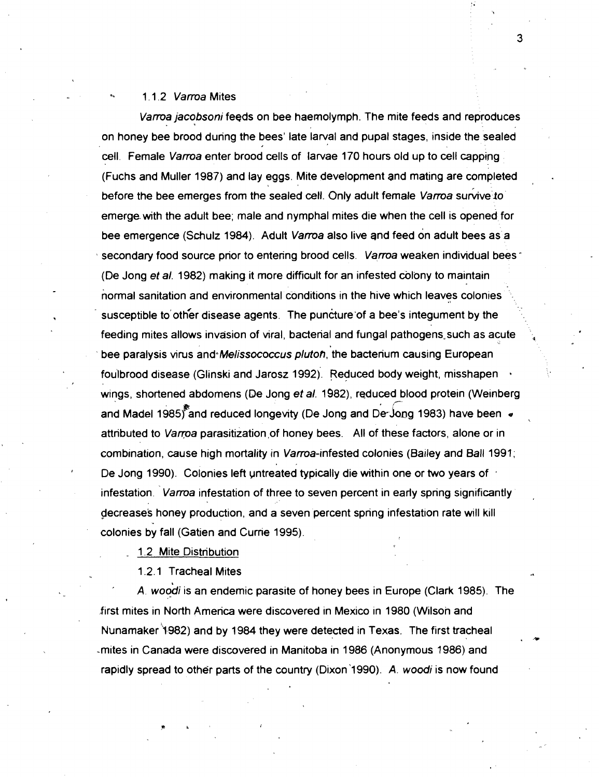#### **-\*** 1.1.2 Vama Mites

Vama jacobsoni feeds on bee haemolymph. The mite feeds and reproduces on honey bee brood during the bees' late larval and pupal stages, inside the sealed cell. Female Varroa enter brood cells of larvae 170 hours old up to cell capping (Fuchs and Muller 1987) and lay eggs. Mite development and mating are completed before the bee emerges from the sealed cell. Only adult female Varroa survive to emerge with the adult bee; male and nymphal mites die when the cell is opened for bee emergence (Schulz 1984). Adult Varroa also live and feed on adult bees as a secondary food source prior to entering brood cells. Varroa weaken individual bees \* (De Jong et al. 1982) making it more difficult for an infested colony to maintain normal sanitation and environmental conditions in the hive which leaves colonies . . susceptible to other disease agents. The puncture of a bee's integument by the feeding mites allows invasion of viral, bacterial and fungal pathogens, such as acute bee paralysis virus and Melissococcus pluton, the bacterium causing European foulbrood disease (Glinski and Jarosz 1992). Reduced body weight, misshapen **<sup>a</sup>** wings, shortened abdomens (De Jong et al. 1982), reduced blood protein (Weinberg **88**<br>**881982 1986 1986 1986 1986 1986 1986 1986 1986 1986 1986 1986 1986 1986 1986 1986 1986 1986 199** and Madel 1985) and reduced longevity (De Jong and De-Jong 1983) have been  $\bullet$ attributed to Varroa parasitization of honey bees. All of these factors, alone or in combination, cause high mortality in Varroa-infested colonies (Bailey and Ball 1991; De Jong 1990). Colonies left untreated typically die within one or two years of . infestation. Varroa infestation of three to seven percent in early spring significantly decrease's honey production, and a seven percent spring infestation rate will kill colonies by fall (Gatien and Currie 1995).

1.2 Mite Distribution

1.2.1 Tracheal Mites

A. woodi is an endemic parasite of honey bees in Europe (Clark 1985). The first mites in North America were discovered in Mexico in 1980 (Wilson and Nunamaker 1982) and by 1984 they were detected in Texas. The first tracheal -mites in Canada were discovered in Manitoba in 1986 (Anonymous 1986) and rapidly spread to other parts of the country (Dixon 1990). A. woodi is now found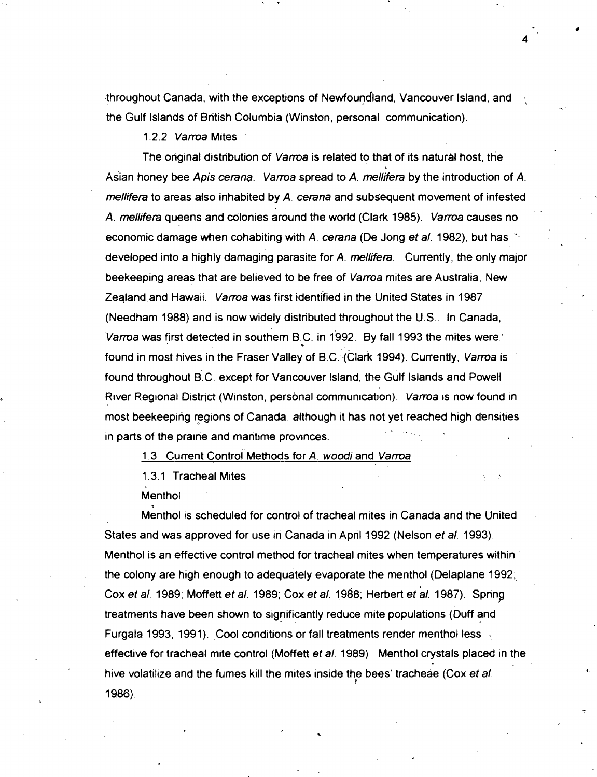throughout Canada, with the exceptions of Newfoundland, Vancouver Island, and the Gulf Islands of British Columbia (Winston, personal communication).

1.2.2 Varroa Mites

The onginal distribution of Varroa is related to that of its natural host, the \* Asian honey bee Apis cerana. Varroa spread to A. mellifera by the introduction of A. mellifera to areas also inhabited by A. cerana and subsequent movement of infested A. mellifera queens and colonies around the world (Clark 1985). Varroa causes no economic damage when cohabiting with A. cerana (De Jong et al. 1982), but has developed into a highly damaging parasite for A. mellifera. Currently, the only major beekeeping areas that are believed to be free of Varroa mites are Australia, New Zealand and Hawaii. *Varroa* was first identified in the United States in 1987 (Needham 1988) and is now widely distributed throughout the U.S.. In Canada, Varroa was first detected in southern B.C. in 1992. By fall 1993 the mites were. found in most hives in the Fraser Valley of B.C. (Clark 1994). Currently, Varroa is found throughout B.C. except for Vancouver Island, the Gulf Islands and Powell River Regional District (Winston, personal communication). Varroa is now found in most beekeeping regions of Canada, although it has not yet reached high densities in parts of the prairie and maritime provinces.

1.3 Current Control Methods for A. woodi and Varroa

1.3.1 Tracheal Mites

**Menthol** 

**0** 

Menthol is scheduled for control of tracheal mites in Canada and the United States and was approved for use in Canada in April 1992 (Nelson et a/. 1993). Menthol is an effective control method for tracheal mites when temperatures within . the colony are high enough to adequately evaporate the menthol (Delaplane 1992, Cox et al. 1989; Moffett et al. 1989; Cox et al. 1988; Herbert et al. 1987). Spring treatments have been shown to significantly reduce mite populations (Duff and Furgala 1993, 1991). Cool conditions or fall treatments render menthol less effective for tracheal mite control (Moffett et a/. 1989). Menthol crystals placed in the hive volatilize and the fumes kill the mites inside th<sub>e</sub> bees' tracheae (Cox *et al.* 1986).

. ,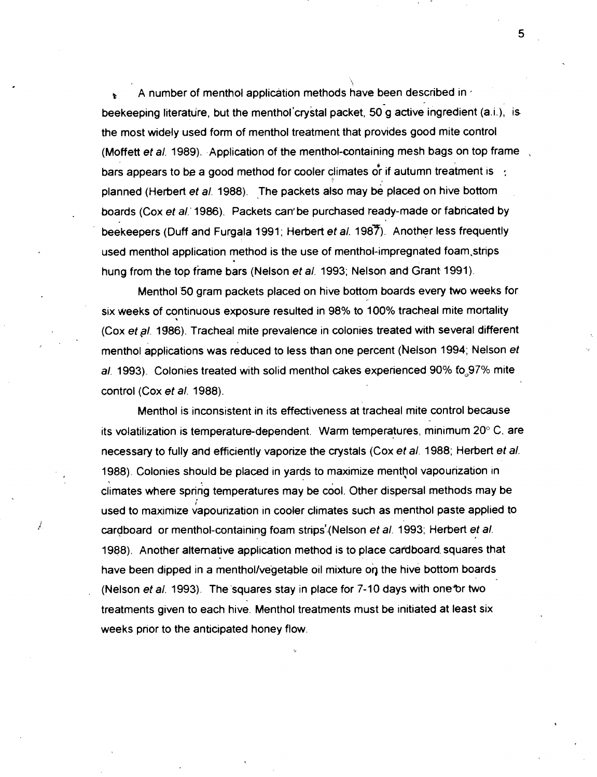A number of menthol application methods have been described in  $\epsilon$ beekeeping literature, but the menthol'crystal packet, 50 g active ingredient (a.i.), is the most widely used form of menthol treatment that provides good mite control (Moffett et al. 1989). Application of the menthol-containing mesh bags on top frame bars appears to be a good method for cooler climates or if autumn treatment is  $\cdot$ : planned (Herbert et al. 1988). The packets also may be placed on hive bottom boards (Cox et al. 1986). Packets can be purchased ready-made or fabricated by beekeepers (Duff and Furgala 1991; Herbert et al. 1987). Another less frequently used menthol application method is the use of menthol-impregnated foam, strips hung from the top frame bars (Nelson et al. 1993; Nelson and Grant 1991).

Menthol 50 gram packets placed on hive bottom boards every two weeks for six weeks of continuous exposure resulted in 98% to 100% tracheal mite mortality (Cox et al. 1986). Tracheal mite prevalence in colonies treated with several different menthol applications was reduced to less than one percent (helson 1994; Nelson et al. 1993). Colonies treated with solid menthol cakes experienced 90% fo, 97% mite control (Cox et a/. 1988).

Menthol is inconsistent in its effectiveness at tracheal mite control because its volatilization is temperature-dependent. Warm temperatures, minimum 20" C, are necessary to fully and efficiently vaporize the crystals (Cox et al. 1988; Herbert et al. 1988). Colonies should be placed in yards to maximize menthol vapourization in climates where spring temperatures may be cool. Other dispersal methods may be used to maximize vapourization in cooler climates such as menthol paste applied to cardboard or menthol-containing foam strips<sup>7</sup> (Nelson et al. 1993; Herbert et al. 1988). Another alternative application method is to place cardboard. squares that have been dipped in a menthol/vegetable oil mixture on the hive bottom boards (Nelson et al. 1993). The squares stay in place for  $7-10$  days with one or two treatments given to each hive. Menthol treatments must be initiated at least six weeks prior to the anticipated honey flow.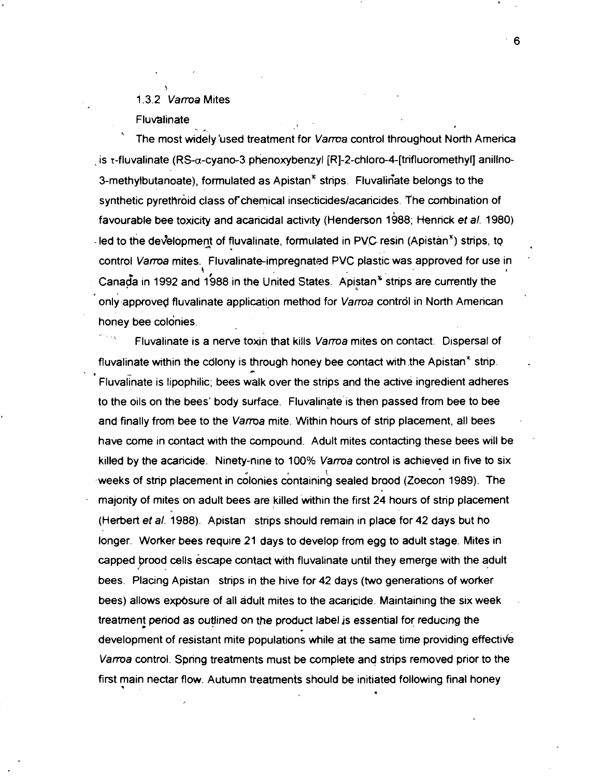## 1.3.2 Varroa Mites Fluvalinate **<sup>b</sup>**

**7** 

- \* The most widely used treatment for Varroa control throughout North America is  $\tau$ -fluvalinate (RS- $\alpha$ -cyano-3 phenoxybenzyl [R]-2-chloro-4-[trifluoromethyl] anillno-3-methylbutanoate), formulated as Apistan $<sup>3</sup>$  strips. Fluvalinate belongs to the</sup> synthetic pyrethroid class of chemical insecticides/acaricides. The combination of favourable bee toxicity and acaricidal activity (Henderson 1988; Henrick et a/. 1980) - led to the development of fluvalinate, formulated in PVC resin (Apistan<sup>3</sup>) strips, to control *Varroa* mites. Fluvalinate-impregnated PVC plastic was approved for use in Canada in 1992 and 1988 in the United States. Apistan<sup>®</sup> strips are currently the only approved fluvalinate application method for Varroa control in North American honey bee colonies.<br>-- ' Fluvalinate is a nerve toxin that kills *Varroa* mites on contact. Dispersal of

fluvalinate within the colony is through honey bee contact with the Apistan $^{\circ}$  strip. Fluvalinate is lipophilic; bees walk over the strips and the active ingredient adheres to the oils on the bees' body surface. Fluvalinate'is then passed from bee to bee and finally from bee to the Varroa mite. Within hours of strip placement, all bees have come in contact with the compound. Adult mites contacting these bees will be killed by the acaricide. Ninety-nine to 100% Varroa control is achieved in five to six weeks of strip placement in colonies containing sealed brood (Zoecon 1989). The majority of mites on adult bees are killed 'within the first 24 hours of strip placement (Herbert et al. 1988). Apistan strips should remain in place for 42 days but ho longer. Worker bees require 21 days to develop from egg to adult stage. Mites in capped Brood cells escape contact with fluvalinate until they emerge with the adult bees. Placing Apistan strips in the hive for 42 days (two generations of worker bees) allows exposure of all adult mites to the acaricide. Maintaining the six week treatment period as outlined on the product label is essential for reducing the development of resistant mite populations while at the same time providing effective Vama control. Spring treatments must be complete and strips removed prior to the first main nectar flow. Autumn treatments should be initiated following final honey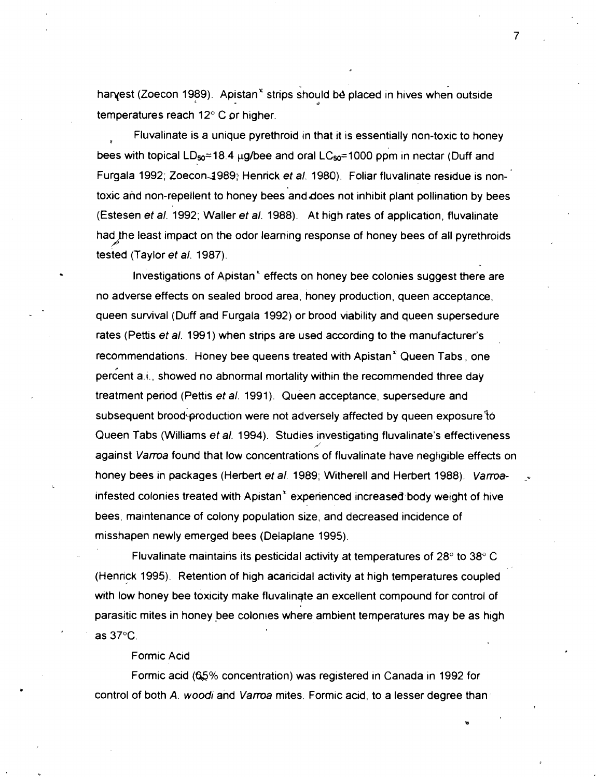harvest (Zoecon 1989). Apistan<sup>t</sup> strips should be placed in hives when outside *B*  temperatures reach 12" C or higher.

Fluvalinate is a unique pyrethroid in that it is essentially non-toxic to honey **<sup>P</sup>** bees with topical LD<sub>so</sub>=18.4  $\mu$ g/bee and oral LC<sub>so</sub>=1000 ppm in nectar (Duff and Furgala 1992; Zoecon-3989: Henrick **et** a/. 1980). Foliar fluvalinate residue is nontoxic and non-repellent to honey bees and does not inhibit plant pollination by bees (Estesen **et** a/. 1992; Waller **et** a/. 1988). At high rates of application, fluvalinate had the least impact on the odor learning response of honey bees of all pyrethroids tested (Taylor **et** a/. 1987).

Investigations of Apistan' effects on honey bee colonies suggest there are no adverse effects on sealed brood area, honey production, queen acceptance, queen survival (Duff and Furgala 1992) or brood viability and queen supersedure rates (Pettis **et** a/. 1991) when strips are used according to the manufacturer's recommendations. Honey bee queens treated with Apistan' Queen Tabs, one percent a.i., showed no abnormal mortality within the recommended three day treatment period (Pettis **et** a/. 1991). Queen acceptance, supersedure and subsequent brood~production were not adversely affected by queen exposure to Queen Tabs (Williams **et** a/. 1994). Studies investigating fluvalinate's effectiveness **d'**  against Varroa found that low concentrations of fluvalinate have negligible effects on honey bees in packages (Herbert **et** a/. 1989; Witherell and Herbert 1988). Varroa- \_\* infested colonies treated with Apistan<sup>\*</sup> experienced increased body weight of hive bees, maintenance of colony population size, and decreased incidence of misshapen newly emerged bees (Delaplane 1995).

Fluvalinate maintains its pesticidal activity at temperatures of 28" to 38" C (Henrick 1995). Retention of high acaricidal activity at high temperatures coupled with low honey bee toxicity make fluvalingte an excellent compound for control of parasitic mites in honey bee colonies where ambient temperatures may be as high as  $37^\circ$ C.

#### Formic Acid

Formic acid **(Q%** concentration) was registered in Canada in 1992 for control of both A. woodi and Varroa mites. Formic acid, to a lesser degree than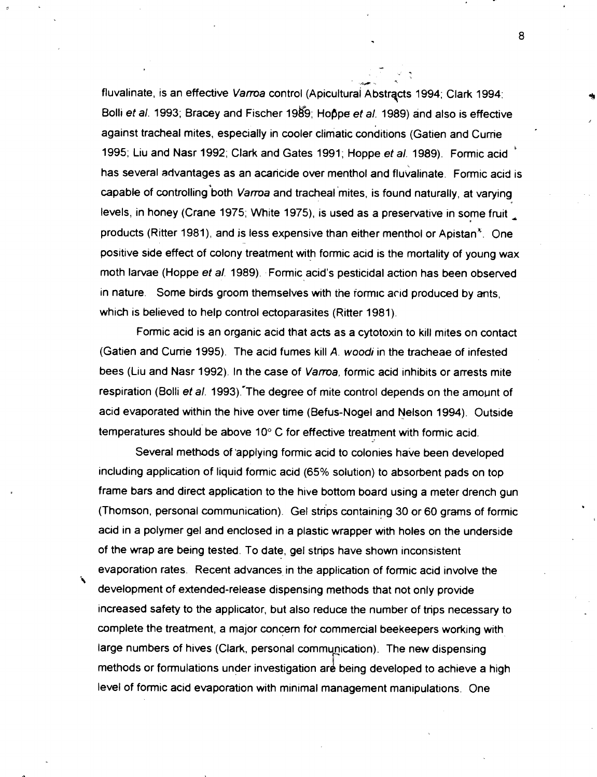- **/h <sup>1</sup>** fluvalinate, is an effective Varroa control (Apicultural Abstracts 1994; Clark 1994: Bolli et al. 1993; Bracey and Fischer 1989; Hoppe et al. 1989) and also is effective against tracheal mites, especially in cooler climatic conditions (Gatien and Currie 1995; Liu and Nasr 1992; Clark and Gates 1991 ; Hoppe et a/. 1989). Formic acid **<sup>b</sup>** has several advantages as an acaricide over menthol and fluvalinate. Formic acid is capable of controlling both Varroa and tracheal mites, is found naturally, at varying levels, in honey (Crane 1975; White 1975), is used as a preservative in some fruit products (Ritter 1981), and js less expensive than either menthol or Apistan'. One positive side effect of colony treatment with formic acid is the mortality of young wax moth larvae (Hoppe et al. 1989). Formic acid's pesticidal action has been observed in nature. Some birds groom themselves with the formic acid produced by ants, which is believed to help control ectoparasites (Ritter 1981).

Formic acid is an organic acid that acts as a cytotoxin to kill mites on contact (Gatien and Cume 1995). The acid fumes kill A. **woodi** in the tracheae of infested bees (Liu and Nasr 1992). In the case of Varroa, formic acid inhibits or arrests mite respiration (Bolli et al. 1993). The degree of mite control depends on the amount of acid evaporated within the hive over time (Befus-Nogel and Nelson 1994). Outside temperatures should be above 10° C for effective treatment with formic acid.

Several methods of 'applying formic acid to colonies have been developed including application of liquid formic acid (65% solution) to absorbent pads on top frame bars and direct application to the hive bottom board using a meter drench gun (Thomson, personal communication). Gel strips containing 30 or 60 grams of formic acid in a polymer gel and enclosed in a plastic wrapper with holes on the underside of the wrap are being tested. To date, gel strips have shown inconsistent evaporation rates. Recent advances in the application of formic acid involve the **i d** development of extended-release dispensing methods that not only provide increased safety to the applicator, but also reduce the number of trips necessary to complete the treatment, a major concern fol commercial beekeepers working with large numbers of hives (Clark, personal communication). The new dispensing methods or formulations under investigation are being developed to achieve a high level of formic acid evaporation with minimal management manipulations. One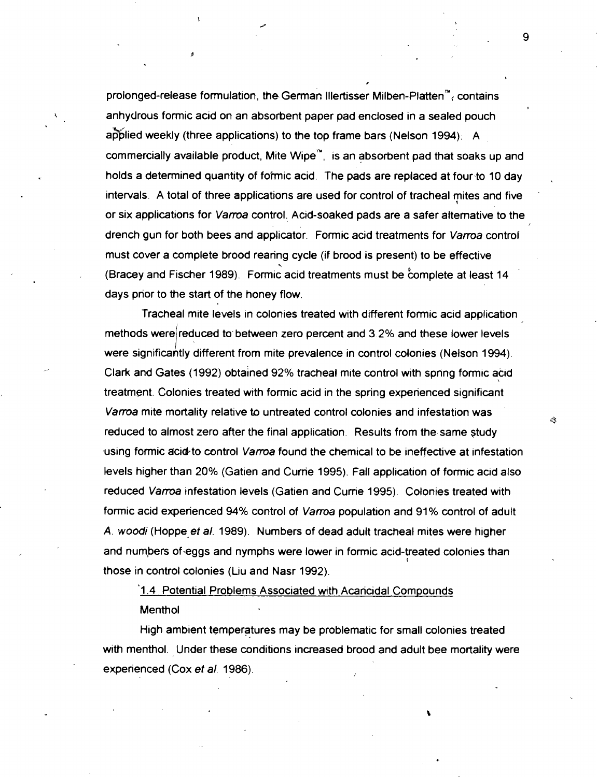prolonged-release formulation, the German Illertisser Milben-Platten<sup>m</sup>, contains anhydrous formic acid on an absorbent paper pad enclosed in a sealed pouch applied weekly (three applications) to the top frame bars (Nelson 1994). A commercially available product, Mite Wipe<sup>n</sup>, is an absorbent pad that soaks up and holds a determined quantity of formic acid. The pads are replaced at four-to 10 day intervals. A total of three applications are used for control of tracheal mites and five ' or six applications for Vama control. Acid-soaked pads are a safer alternative to the drench gun for both bees and applicator. Formic acid treatments for Varroa control must cover a complete brood rearing cycle (if brood is present) to be effective<br>(Bracey and Fischer 1989). Formic acid treatments must be complete at least 14 days prior to the start of the honey flow.

Tracheal mite levels in colonies treated with different formic acid application methods were reduced to between zero percent and 3.2% and these lower levels were significantly different from mite prevalence in control colonies (Nelson 1994). Clark and Gates (1992) obtained 92% tracheal mite control with spring formic acid treatment. Colonies treated with formic acid in the spring experienced significant Vama mite mortality relative **to** untreated control colonies and infestation was reduced to almost zero after the final application. Results from the same study using formic acid to control Varroa found the chemical to be ineffective at infestation levels higher than 20% (Gatien and Cunie 1995). Fall application of formic acid also reduced Vama infestation levels (Gatien and Curne 1995). Colonies treated with formic acid experienced **94%** control of Varma population and 91 % control of adult A. wood; (Hoppe et **a/.** 1989). Numbers of dead adult tracheal mites were higher and numbers of-eggs and nymphs were lower in formic acid-treated colonies than **I**  those in control colonies (Liu and Nasr 1992).

'1.4 Potential Problems Associated with Acaricidal Compounds **Menthol** 

High ambient temperatures may be problematic for small colonies treated with menthol. Under these conditions increased brood and adult bee mortality were experienced (Cox et al. 1986).

9

B

+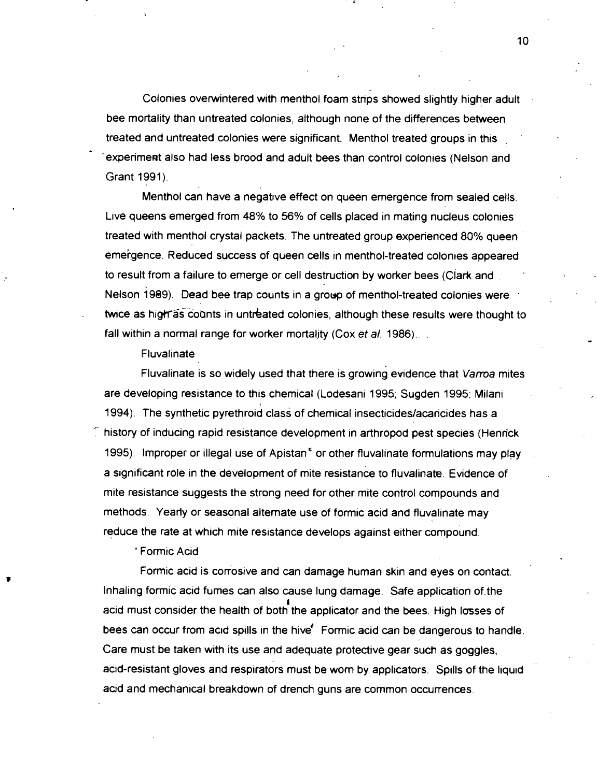Colonies overwintered with menthol foam strips showed slightly higher adult bee mortality than untreated colonies, although none of the differences between treated and untreated colonies were significant. Menthol treated groups in this . experiment also had less brood and adult bees than control colonies (Nelson and Grant 1991).

Menthol can have a negative effect on queen emergence from sealed cells. Live queens emerged from **48%** to 56% of cells placed in mating nucleus colonies treated with menthol crystal packets. The untreated group experienced 80% queen emergence. Reduced success of queen cells in menthol-treated colonies appeared to result from a failure to emerge or cell destruction by worker bees (Clark and Nelson 1989). Dead bee trap counts in a group of menthol-treated colonies were twice as high as counts in untreated colonies, although these results were thought to fall within a normal range for worker mortality (Cox et al. 1986).

**Fluvalinate** 

Fluvalinate is so widely used that there is growing evidence that Varroa mites are developing resistance to this chemical (Lodesani 1995; Sugden 1995; Milani 1994). The synthetic pyrethroid class of chemical insecticides/acaricides has a  $\tilde{\phantom{a}}$  history of inducing rapid resistance development in arthropod pest species (Henrick 1995). Improper or illegal use of Apistan<sup>x</sup> or other fluvalinate formulations may play a significant role in the development of mite resistance to fluvalinate. Evidence of mite resistance suggests the strong need for other mite control compounds and methods. Yearly or seasonal alternate use of formic acid and fluvalinate may reduce the rate at which mite resistance develops against either compound.

" Formic Acid

Formic acid is corrosive and can damage human skin and eyes on contact. Inhaling formic acid fumes can also cause lung damage. Safe application of-the acid must consider the health of both the applicator and the bees. High l<del>os</del>ses of bees can occur from acid spills in the hive: Formic acid can be dangerous to handle. Care must be taken with its use and adequate protective gear such as goggles, acid-resistant gloves and respirators must be worn by applicators. Spills of the liquid acid and mechanical breakdown of drench guns are common occurrences.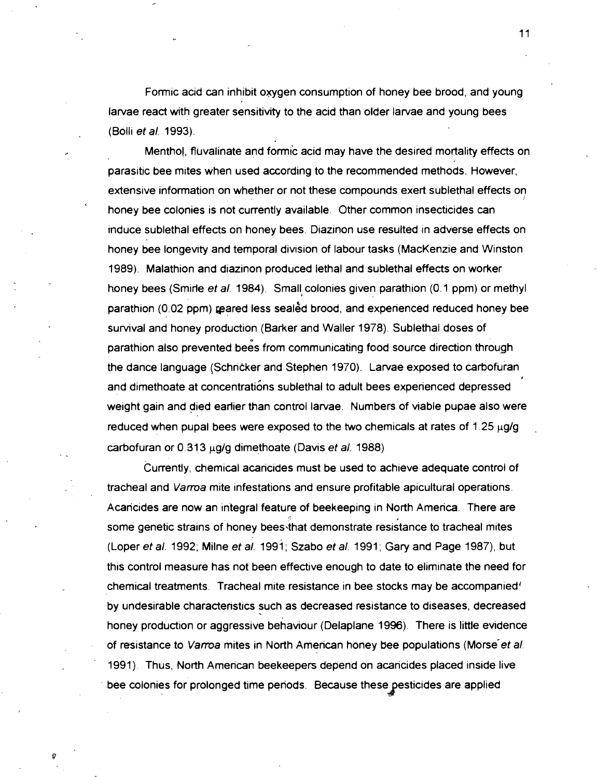Formic acid can inhibit oyygen consumption of honey bee brood, and young larvae react with greater sensitivity to the acid than older larvae and young bees (Bolli et a/. 1993).

Menthol, fluvalinate and formic acid may have the desired mortality effects on parasitic bee mites when used according to the recommended methods. However, extensive information on whether or not these compounds exert sublethal effects on honey bee colonies is not currently available. Other common insecticides can induce sublethal effects on honey bees. Diazinon use resulted in adverse effects on honey bee longevrty and temporal division of labour tasks (MacKenzie and Winston 1989). Malathion and diazinon produced lethal and sublethal effects on worker honey bees (Smirle et al. 1984). Small colonies given parathion (0.1 ppm) or methyl parathion (0.02 ppm) pared less sealed brood, and experienced reduced honey bee survival and honey production (Barker and Waller 1978). Sublethal doses of parathion also prevented bees from communicating food source direction through the dance language (Schricker and Stephen 1970). Larvae exposed to carbofuran and dimethoate at concentrations sublethal to adult bees experienced depressed weight gain and died earlier than control larvae. Numbers of viable pupae also were reduced when pupal bees were exposed to the two chemicals at rates of  $1.25 \mu g/g$ carbofuran or  $0.313 \mu q/q$  dimethoate (Davis et al. 1988).

Currently, chemical acaricides must be used to achieve adequate control of tracheal and Vama mite infestations and ensure profitable apicultural operations. Acaricides are now an integral feature of beekeeping in North America. There are some genetic strains of honey bees'that demonstrate resistance to tracheal mites (Loper et al. 1992; Milne et al. 1991; Szabo et al. 1991; Gary and Page 1987), but this control measure has not been effective enough to date to eliminate the need for chemical treatments. Tracheal mite resistance in bee stocks may be accompanied' by undesirable characteristics such as decreased resistance to diseases, decreased honey production or aggressive behaviour (Delaplane 1996). There is little evldence of resistance to Varroa mites in North American honey bee populations (Morse et al. 1991). Thus, North American beekeepers depend on acaricides placed inside live bee colonies for prolonged time periods. Because these pesticides are applied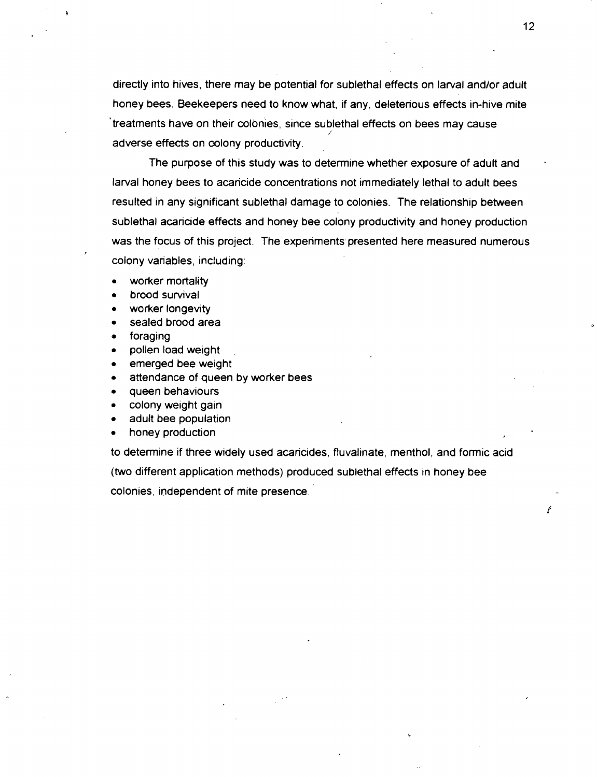directly into hives, there may be potential for sublethal effects on larval and/or adult honey bees. Beekeepers need to know what, if any, deleterious effects in-hive mite treatments have on their colonies, since sublethal effects on bees may cause adverse effects on colony productivity.

The purpose of this study was to determine whether exposure of adult and larval honey bees to acaricide concentrations not immediately lethal to adult bees resulted in any significant sublethal damage to colonies. The relationship between sublethal acaricide effects and honey bee colony productivity and honey production was the focus of this project. The experiments presented here measured numerous colony variables, including:

- worker mortality
- brood survival
- worker longevity
- sealed brood area
- foraging
- pollen load weight
- emerged bee weight
- attendance of queen by worker bees
- queen behaviours
- colony weight gain
- adult bee population
- honey production

to determine if three widely used acaricides, fluvalinate, menthol, and formic acid (two different application methods) produced sublethal effects in honey bee colonies, independent of mite presence.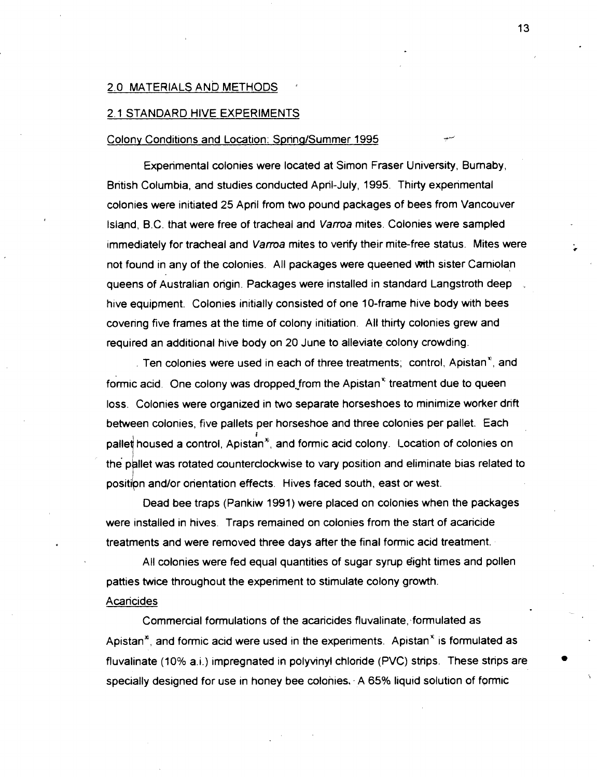#### 2.0 MATERIALS AND METHODS

#### 2.1 STANDARD HIVE EXPERIMENTS

#### Colony Conditions and Location: Spring/Summer 1995

Experimental colonies were located at Simon Fraser University, Bumaby, British Columbia, and studies conducted April-July, 1995. Thirty experimental colonies were initiated 25 April from two pound packages of bees from Vancouver Island, B.C. that were free of tracheal and Vama mites. Colonies were sampled immediately for tracheal and Varroa mites to verify their mite-free status. Mites were not found in any of the colonies. All packages were queened with sister Camiolan queens of Australian origin. Packages were installed in standard Langstroth deep hive equipment. Colonies initially consisted of one 10-frame hive body with bees covering five frames at the time of colony initiation. All thirty colonies grew and required an additional hive body on 20 June to alleviate colony crowding.

Ten colonies were used in each of three treatments; control, Apistan<sup> $\mathbf{r}_i$ </sup>, and formic acid. One colony was dropped from the Apistan<sup>®</sup> treatment due to queen loss. Colonies were organized in two separate horseshoes to minimize worker drift between colonies, five pallets per horseshoe and three colonies per pallet. Each thoused a control, Apistan<br>allet was rotated counterch<br>ion and/or orientation effec pallet housed a control, Apistan<sup>s</sup>, and formic acid colony. Location of colonies on the pallet was rotated counterclockwise to vary position and eliminate bias related to position and/or orientation effects. Hives faced south, east or west.

Dead bee traps (Pankiw 1991) were placed on colonies when the packages were installed in hives. Traps remained on colonies from the start of acaricide treatments and were removed three days after the final formic acid treatment.

All colonies were fed equal quantities of sugar syrup eight times and pollen patties **twice** throughout the experiment to stimulate colony growth.

#### Acaricides

Commercial formulations of the acaricides fluvalinate, formulated as Apistan<sup>\*</sup>, and formic acid were used in the experiments. Apistan<sup>\*</sup> is formulated as fluvalinate (10% a.i.) impregnated in polyvinyl chloride (PVC) strips. These strips are specially designed for use in honey bee colonies. A  $65\%$  liquid solution of formic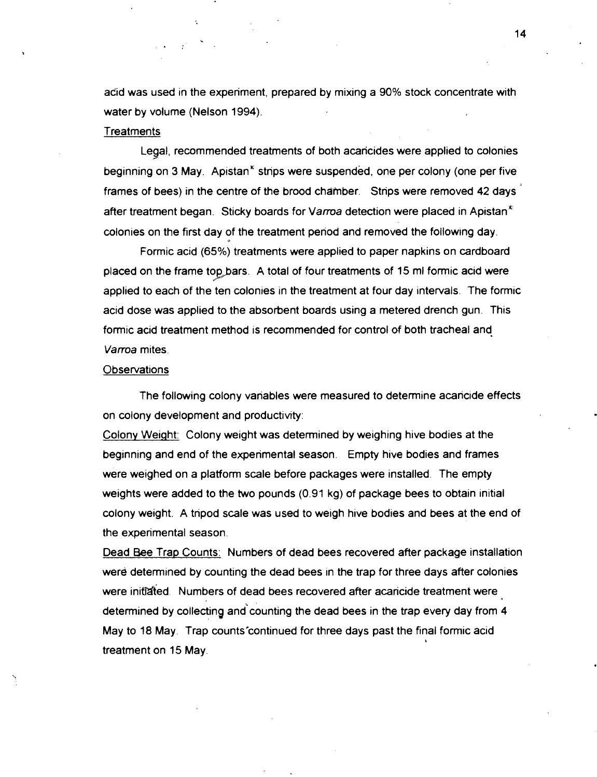acid was used in the experiment, prepared by mixing a 90% stock concentrate with water by volume (Nelson 1994).

#### **Treatments**

Legal, recommended treatments of both acaricides were applied to colonies # beginning on 3 May. Apistan<sup>\*</sup> strips were suspended, one per colony (one per five frames of bees) in the centre of the brood chamber. Strips were removed 42 days after treatment began. Sticky boards for Varroa detection were placed in Apistan<sup>"</sup> colonies on the first day of the treatment period and removed the following day.

Formic acid (65%) treatments were applied to paper napkins on cardboard placed on the frame top bars. A total of four treatments of 15 ml formic acid were applied to each of the ten colonies in the treatment at four day intervals. The formic acid dose was applied to the absorbent boards using a metered drench gun. This formic acid treatment method is recommended for control **d** both tracheal and Varroa mites.

#### **Observations**

The following colony variables were measured to determine acaricide effects on colony development and productivity:

Colony Weight: Colony weight was determined by weighing hive bodies at the beginning and end of the experimental season. Empty hive bodies and frames were weighed on a platform scale before packages were installed. The empty weights were added to the two pounds (0.91 kg) of package bees to obtain initial colony weight. A tripod scale was used to weigh hive bodies and bees at the end of the experimental season.

Dead Bee Trap Counts: Numbers of dead bees recovered after package installation were determined by counting the dead bees in the trap for three days after colonies were initiated. Numbers of dead bees recovered after acaricide treatment were determined by collecting and counting the dead bees in the trap every day from 4 May to 18 May. Trap counts'continued for three days past the final formic acid treatment on 15 May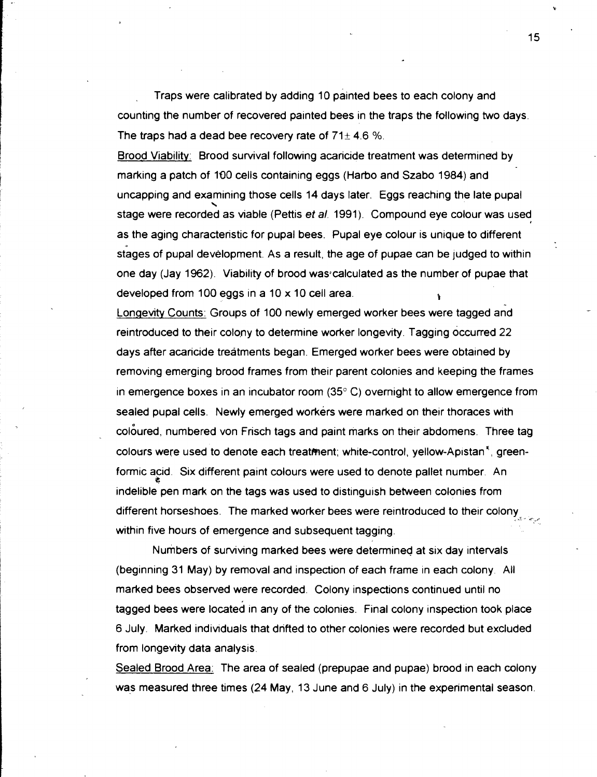. Traps were calibrated by adding 10 painted bees to each colony and counting the number of recovered painted bees in the traps the following two days. The traps had a dead bee recovery rate of  $71 \pm 4.6$  %.

Brood Viability: Brood survival followng acaricide treatment was determined by marking a patch of 100 cells containing eggs (Harbo and Szabo 1984) and uncapping and examining those cells 14 days later. Eggs reaching the late pupal \ stage were recorded as wable (Pettis et **a/.** 1991). Compound eye colour was used *d*  as the aging characteristic for pupal bees. Pupal eye colour is unique to different stages of pupal development. As a result, the age of pupae can be judged to within one day (Jay 1962). Viability of brood was calculated as the number of pupae that developed from 100 eggs in a 10 x 10 cell area. **<sup>1</sup>**

Longevity Counts: Groups of 100 newly emerged worker bees were tagged and reintroduced to their colony to determine worker longevity. Tagging occurred 22 days after acaricide treatments began. Emerged worker bees were obtained by removing emerging brood frames from their parent colonies and keeping the frames in emergence boxes in an incubator room **(35"** C) overnight to allow emergence from sealed pupal cells. Newly emerged workers were marked on their thoraces with coloured, numbered von Frisch tags and paint marks on their abdomens. Three tag colours were used to denote each treatment; white-control, yellow-Apistan<sup>\*</sup>, greenformic acid. Six different paint colours were used to denote pallet number. An \* indelible pen mark on the tags was used to distinguish between colonies from different horseshoes. The marked worker bees were reintroduced to their colony<sub>.</sub>  $\mathcal{L}$ within five hours of emergence and subsequent tagging.

Numbers of surviving marked bees were determined at six day intervals (beginning 31 May) by removal and inspection of each frame in each colony. All marked bees observed were recorded. Colony inspections continued until no tagged bees were located in any of the colonies. Final colony inspection took place 6 July. Marked indivtduals that drifted to other colonies were recorded but excluded from longevity data analysis.

Sealed Brood Area: The area of sealed (prepupae and pupae) brood in each colony was measured three times (24 May, 13 June and 6 July) in the experimental season.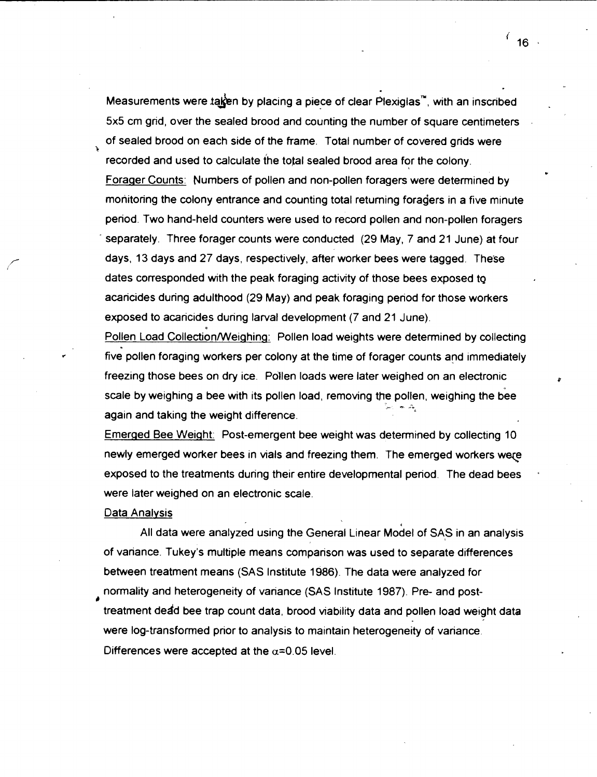Measurements were taken by placing a piece of clear Plexiglas<sup>"</sup>, with an inscribed 5x5 cm grid, over the sealed brood and counting the number of square centimeters of sealed brood on each side of the frame. Total number of covered grids were **k**  recorded and used to calculate the total sealed brood area for the colony. Forager Counts: Numbers of pollen and non-pollen foragers were determined by monitoring the colony entrance and counting total returning foragers in a five minute period. Two hand-held counters were used to record pollen and non-pollen foragers separately. Three forager counts were conducted (29 May, 7 and 21 June) at four days, 13 days and 27 days, respectively, after worker bees were tagged. These dates corresponded with the peak foraging activity of those bees exposed tg acaricides during adulthood (29 May) and peak foraging period for those workers exposed to acaricides during larval development (7 and 21 June).

Pollen Load Collection/Weighing: Pollen load weights were determined by collecting five pollen foraging workers per colony at the time of forager counts and immediately freezing those bees on dry ice. Pollen loads were later weighed on an electronic scale by weighing a bee with its pollen load, removing the pollen, weighing the bee again and taking the weight difference.

Emerged Bee Weight: Post-emergent bee weight was determined by collecting 10 newly emerged worker bees in vials and freezing them. The emerged workers were exposed to the treatments during their entire developmental period. The dead bees were later weighed on an electronic scale.

#### Data Analysis

All data were analyzed using the General Linear Model of SAS in an analysis of variance. Tukey's multiple means comparison was used to separate differences between treatment means (SAS lnstitute 1986). The data were analyzed for normality and heterogeneity of variance (SAS lnstitute 1987). Pre- and post*r)*  treatment dead bee trap count data, brood viability data and pollen load weight data were log-transformed prior to analysis to maintain heterogeneity of variance. Differences were accepted at the  $\alpha$ =0.05 level.

 $16<sup>1</sup>$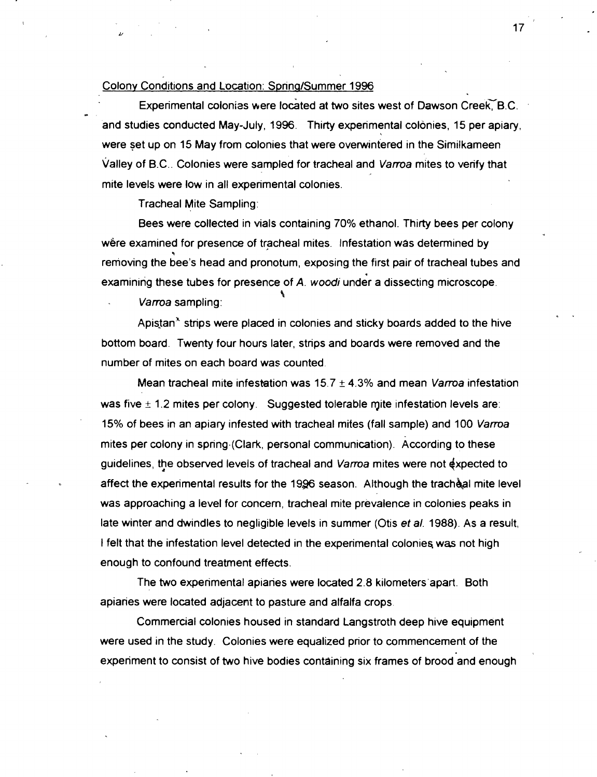#### Colony Conditions and Location: Spring/Summer 1996

Experimental colonias were located at two sites west of Dawson Creek, B.C. and studies conducted May-July, 1996. Thirty experimental colonies, 15 per apiary, were set up on 15 May from colonies that were overwintered in the Similkameen Valley of B.C.. Colonies were sampled for tracheal and Varroa mites to verify that mite levels were low in all experimental colonies.

Tracheal Mite Sampling:

Bees were collected in vials containing 70% ethanol. Thirty bees per colony were examined for presence of tracheal mites. Infestation was determined by **9**  removing the bee's head and pronotum, exposing the first pair of tracheal tubes and examining these tubes for presence of A. woodi under a dissecting microscope.

Varroa sampling:

Apistan<sup>\*</sup> strips were placed in colonies and sticky boards added to the hive bottom board. Twenty four hours later, strips and boards were removed and the number of mites on each board was counted

Mean tracheal mite infestation was  $15.7 \pm 4.3\%$  and mean *Varroa* infestation was five  $\pm$  1.2 mites per colony. Suggested tolerable mite infestation levels are: 15% of bees in an apiary infested with tracheal mites (fall sample) and 100 Vama mites per colony in spring.(Clark, personal communication). According to these guidelines, the observed levels of tracheal and Varroa mites were not expected to affect the experimental results for the 1996 season. Although the tracheal mite level was approaching a level for concern, tracheal mite prevalence in colonies peaks in late winter and dwindles to negligible levels in summer (Otis **et** a/. 1988). As a result, I felt that the infestation level detected in the experimental colonies, was not high enough to confound treatment effects.

The two experimental apiaries were located 2.8 kilometers'apart. Both apiaries were located adjacent to pasture and alfalfa crops.

Commercial colonies housed in standard Langstroth deep hive equipment were used in the study. Colonies were equalized prior to commencement of the experiment to consist of two hive bodies containing six frames of brood and enough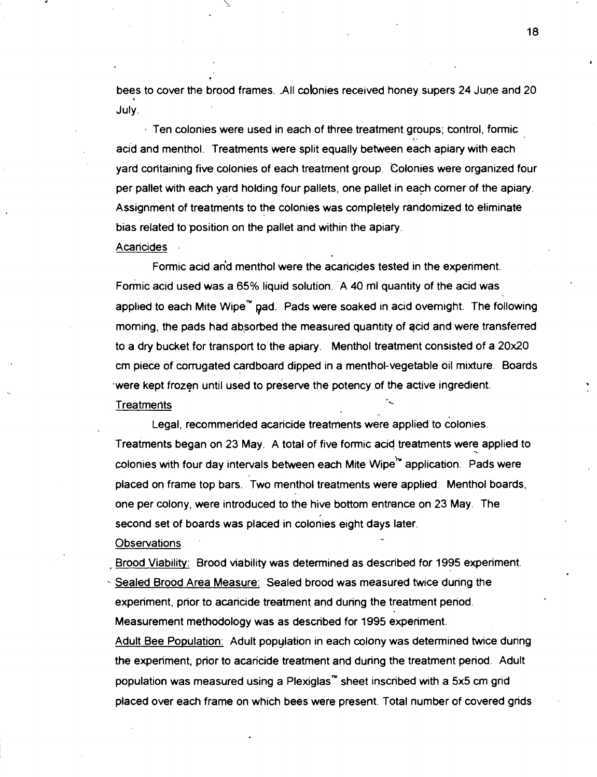bees to cover the brood frames. .All colonies received honey supers 24 June and 20 July.

**I** Ten colonies were used in each of three treatment groups; tontrol, formic t ' acid and menthol. Treatments were split equally between each apiary with each yard containing five colonies of each treatment group. Colonies were organized four per pallet with each yard holding four pallets, one pallet in each comer of the apiary. Assignment of treatments to the colonies was completely randomized to eliminate bias related to position on the pallet and within the apiary.

**Acancides** 

Formic acid and menthol were the acaricides tested in the experiment. Formic acid used was a 65% liquid solution. A 40 ml quantity of the acid was applied to each Mite wipe" pad. Pads were soaked in acid overnight. The following morning, the pads had absorbed the measured quantity of acid and were transferred to a dry bucket for transport to the apiary. Menthol treatment consisted of a 20x20 cm piece of corrugated cardboard dipped in a menthol-vegetable oil mixture. Boards were kept frozen until used to preserve the potency of the active ingredient. **Treatments** 

Legal, recommerfded acaricide treatments were applied to colonies. Treatments began on 23 May. A total of five formic acid treatments were applied to colonies with four day intervals between each Mite Wipe<sup>ts</sup> application. Pads were placed on frame top bars. Two menthol treatments were applied. Menthol boards, one per colony, were introduced to the hive bottom entrance on 23 May. The second set of boards was placed in colonies eight days later.

Observations

Brood Viability: Brood viability was determined as described for 1995 experiment.

Sealed Brood Area Measure: Sealed brood was measured twice dunng the experiment, prior to acaricide treatment and during the treatment period. Measurement methodology was as described for 1995 experiment. Adult Bee Population: Adult population in each colony was determined twice during the experiment, prior to acaricide treatment and during the treatment period. Adult population was measured using a Plexiglas<sup>"</sup> sheet inscribed with a 5x5 cm grid placed over each frame on which bees were present. Total number of covered grids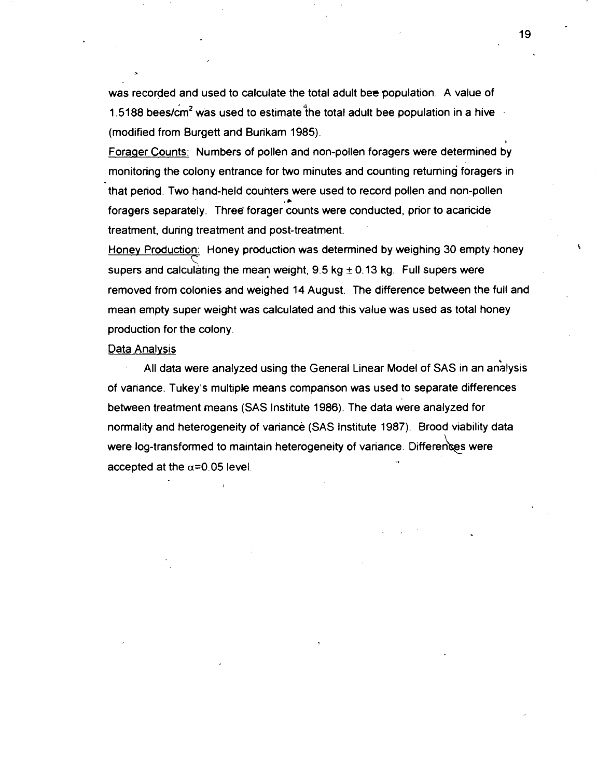was recorded and used to calculate the total adult bee population. A value of 1.5188 bees/ $\text{cm}^2$  was used to estimate the total adult bee population in a hive (modified from Burgett and Bunkam 1985).

Forager Counts: Numbers of pollen and non-pollen foragers were determined by monitoring the colony entrance for two minutes and counting returning foragers in that period. Two hand-held counters were used to record pollen and non-pollen foragers separately. Three' forager counts were conducted, prior to acaricide treatment, during treatment and post-treatment.

Honey Production: Honey production was determined by weighing 30 empty honey supers and calculating the mean weight,  $9.5$  kg  $\pm$  0.13 kg. Full supers were removed from colonies and weighed 14 August. The difference between the full and mean empty super weight was calculated and this value was used as total honey production for the colony.

#### Data Analvsis

All data were analyzed using the General Linear Model of SAS in an analysis of variance. Tukey's multiple means comparison was used to separate differences between treatment means (SAS Institute 1986). The data were analyzed for normality and heterogeneity of variance (SAS lnstitute 1987). Brood viability data were log-transformed to maintain heterogeneity of variance. Differences were accepted at the  $\alpha$ =0.05 level.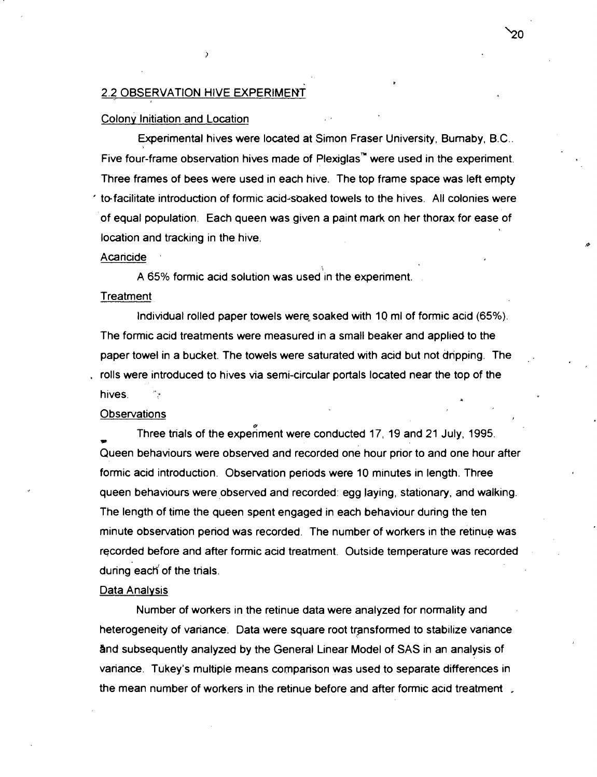#### 2.2 OBSERVATION HIVE EXPERIMENT

#### Colony Initiation and Location

Experimental hives were located at Simon Fraser University, Bumaby, B.C.. Five four-frame observation hives made of Plexiglas<sup>"</sup> were used in the experiment. Three frames of bees were used in each hive. The top frame space was left empty to facilitate introduction of formic acid-soaked towels to the hives. All colonies were of equal population. Each queen was given a paint mark on her thorax for ease of location and tracking in the hive.

#### Acaricide ,

i<br>i A 65% formic acid solution was used in the experiment.

#### **Treatment**

Individual rolled paper towels were, soaked with 10 ml of formic acid (65%). The formic acid treatments were measured in a small beaker and applied to the paper towel in a bucket. The towels were saturated with acid but not dripping. The rolls were introduced to hives via semi-circular portals located near the top of the hives. **<sup>a</sup>**

#### **Observations**

**UE**  Three trials of the experiment were conducted 17, 19 and 21 July, 1995. Queen behaviours were observed and recorded one hour prior to and one hour after formic acid introduction. Observation periods were 10 minutes in length. Three queen behaviours were observed and recorded: egg laying, stationary, and walking. The length of time the queen spent engaged in each behaviour during the ten minute observation period was recorded. The number of workers in the retinue was recorded before and after formic acid treatment. Outside temperature was recorded during each of the trials.

#### Data Analysis

Number of workers in the retinue data were analyzed for normality and heterogeneity of variance. Data were square root trgnsformed to stabilize variance and subsequently analyzed by the General Linear Model of SAS in an analysis of variance. Tukey's multiple means comparison was used to separate differences in the mean number of workers in the retinue before and after formic acid treatment .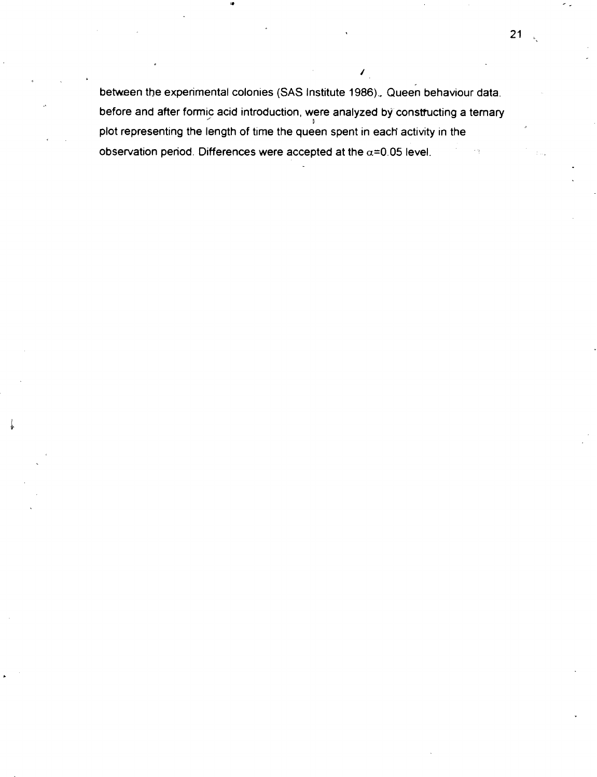between the experimental colonies (SAS Institute 1986). Queen behaviour data. before and after formic acid introduction, were analyzed by constructing a ternary plot representing the length of time the queen spent in each activity in the observation period. Differences were accepted at the **a=0.05** level.

/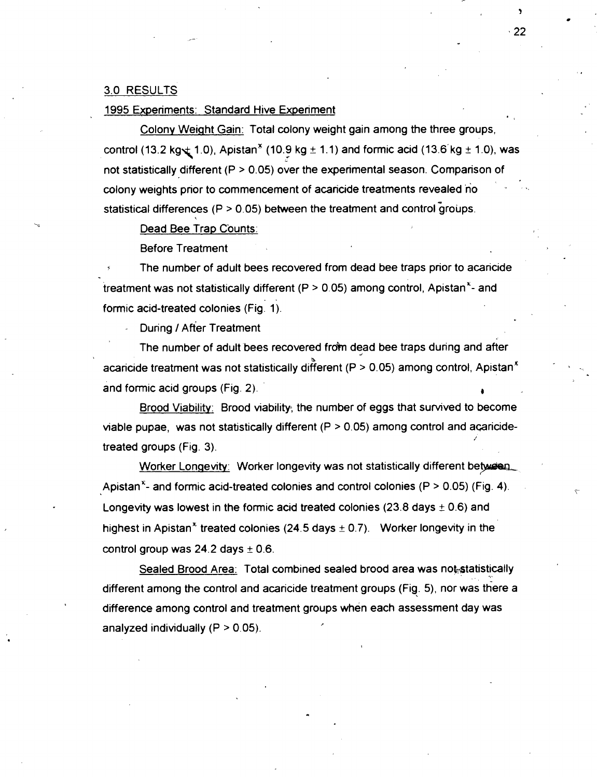#### 3.0 RESULTS

#### 1995 Experiments: Standard Hive Experiment

Colony Weight Gain: Total colony weight gain among the three groups, control (13.2 kg $\pm$  1.0), Apistan<sup>3</sup> (10.9 kg  $\pm$  1.1) and formic acid (13.6 kg  $\pm$  1.0), was not statistically different (P > 0.05) over the experimental season. Comparison of colony weights prior to commencement of acaricide treatments revealed no statistical differences ( $P > 0.05$ ) between the treatment and control groups.

Dead Bee Trap Counts:

Before Treatment

The number of adult bees recovered from dead bee traps prior to acaricide treatment was not statistically different ( $P > 0.05$ ) among control, Apistan<sup>x</sup>- and formic acid-treated colonies (Fig. 1).

During / After Treatment

The number of adult bees recovered from dead bee traps during and after acancide treatment was not statistically different (P > 0.05) among control, Apistan<sup>\*</sup> Production of the state and formic acid groups (Fig. 2).

Brood Viability: Brood viability, the number of eggs that survived to become viable pupae, was not statistically different  $(P > 0.05)$  among control and acaricidetreated groups (Fig. 3).

Worker Longevity: Worker longevity was not statistically different between Apistan<sup>x</sup>- and formic acid-treated colonies and control colonies (P  $>$  0.05) (Fig. 4). Longevity was lowest in the formic acid treated colonies (23.8 days  $\pm$  0.6) and highest in Apistan<sup>\*</sup> treated colonies (24.5 days  $\pm$  0.7). Worker longevity in the control group was  $24.2$  days  $\pm$  0.6.

Sealed Brood Area: Total combined sealed brood area was not statistically different among the control and acaricide treatment groups (Fig. 5), nor was there a difference among control and treatment groups when each assessment day was analyzed individually  $(P > 0.05)$ .

 $\cdot$  22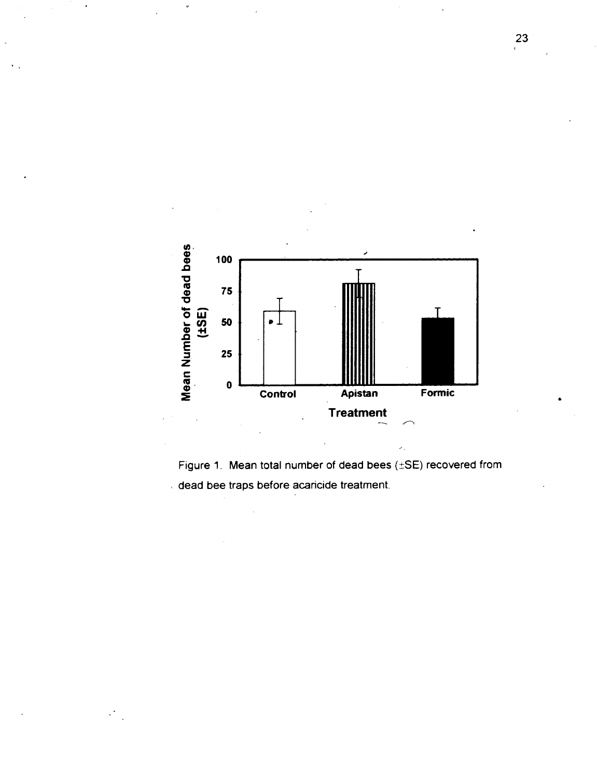

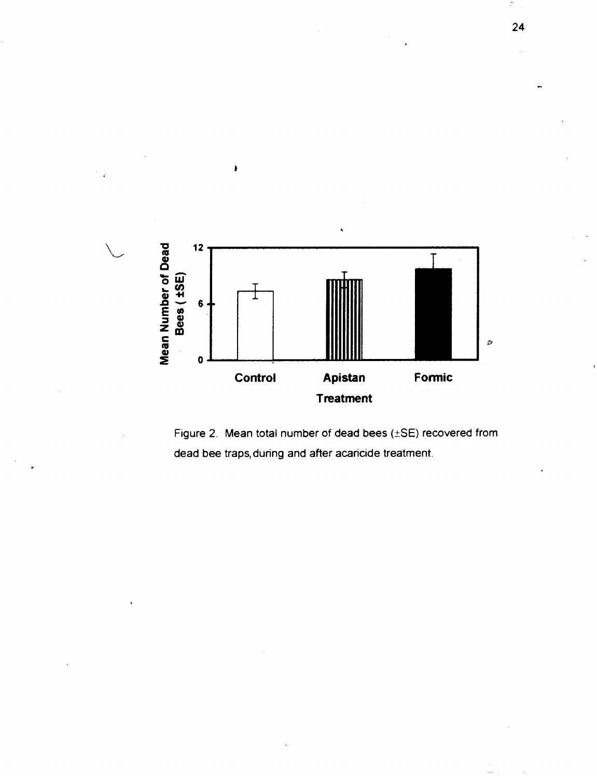

À

Figure 2. Mean total number of dead bees  $(\pm SE)$  recovered from dead bee traps, during and after acaricide treatment.

 $24$ 

 $\check{\cdot}$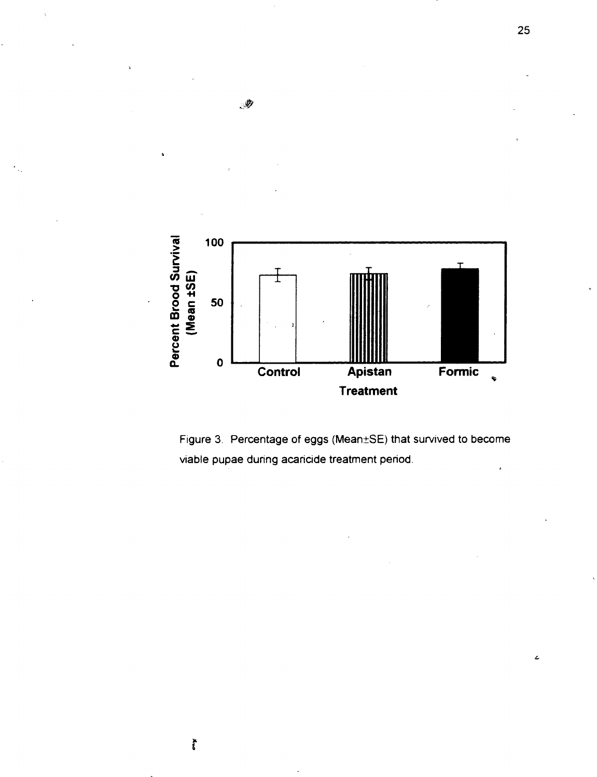



.

 $\tilde{f}$ 

25

 $\epsilon$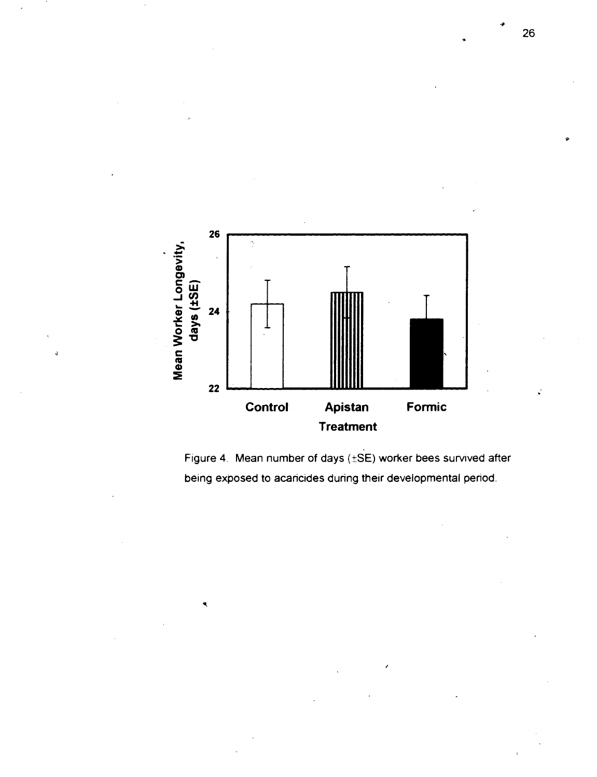

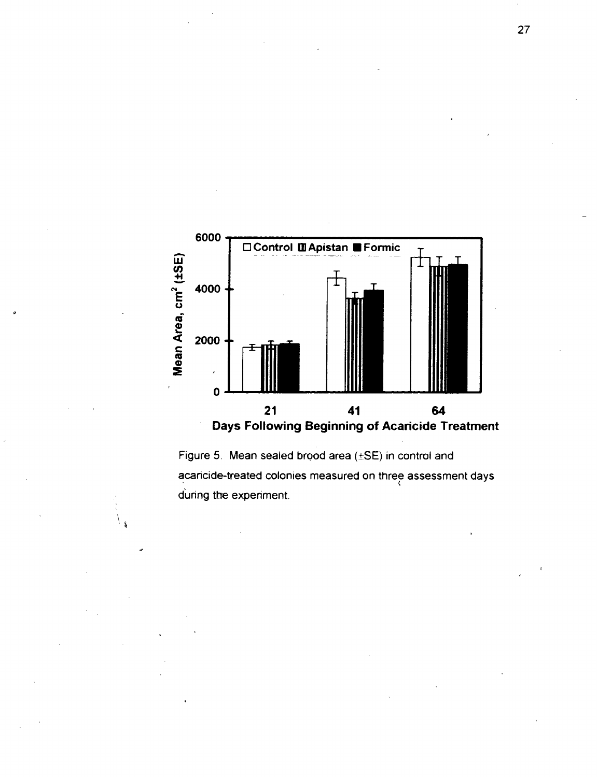

Figure 5. Mean sealed brood area  $(\pm SE)$  in control and acaricide-treated colonies measured on three assessment days during the experiment.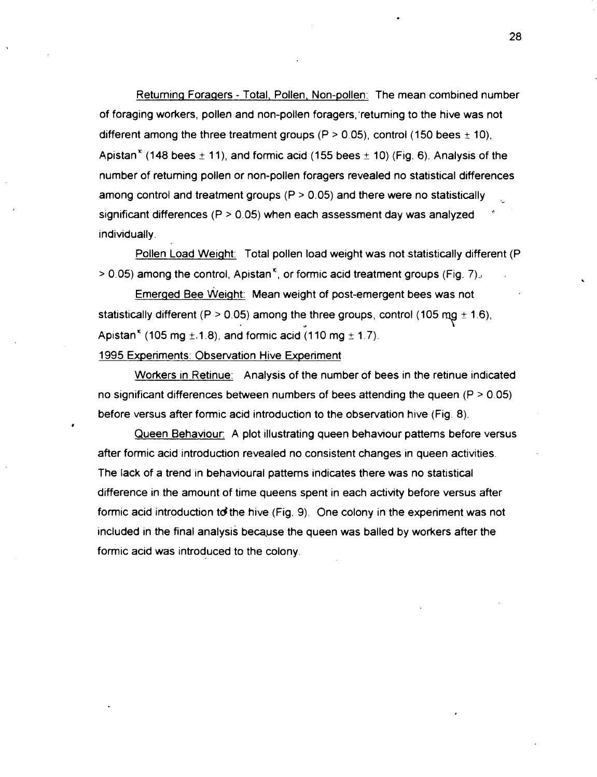Returning Foragers - Total, Pollen, Non-pollen: The mean combined number of foraging workers, pollen and non-pollen foragers, returning to the hive was not different among the three treatment groups (P > 0.05), control (150 bees  $\pm$  10), Apistan<sup>\*</sup> (148 bees  $\pm$  11), and formic acid (155 bees  $\pm$  10) (Fig. 6). Analysis of the number of returning pollen or non-pollen foragers revealed no statistical differences among control and treatment groups ( $P > 0.05$ ) and there were no statistically significant differences ( $P > 0.05$ ) when each assessment day was analyzed indiwdually.

Pollen Load Weight: Total pollen load weight was not statistically different (P  $> 0.05$ ) among the control, Apistan<sup>\*</sup>, or formic acid treatment groups (Fig. 7).

Emerged Bee weight: Mean weight of post-emergent bees was not statistically different (P > 0.05) among the three groups, control (105 mg  $\pm$  1.6), **e**  statistically different (P > 0.05) among the three groups, constants (105 mg  $\pm$  1.8), and formic acid (110 mg  $\pm$  1.7).

1995 Experiments: Observation Hive Experiment

*b* 

Workers in Retinue: Analysis of the number of bees in the retinue indicated no significant differences between numbers of bees attending the queen  $(P > 0.05)$ before versus after formic acid introduction to the observation hive (Fig. 8).

Queen Behaviour: A plot illustrating queen behaviour patterns before versus after formic acid introduction revealed no consistent changes in queen activities. The lack of a trend in behavioural patterns indicates there was no statistical difference in the amount of time queens spent in each actiwty before versus after formic acid introduction to the hive (Fig. 9). One colony in the experiment was not included in the final analysis becayse the queen was balled by workers after the formic acid was introduced to the colony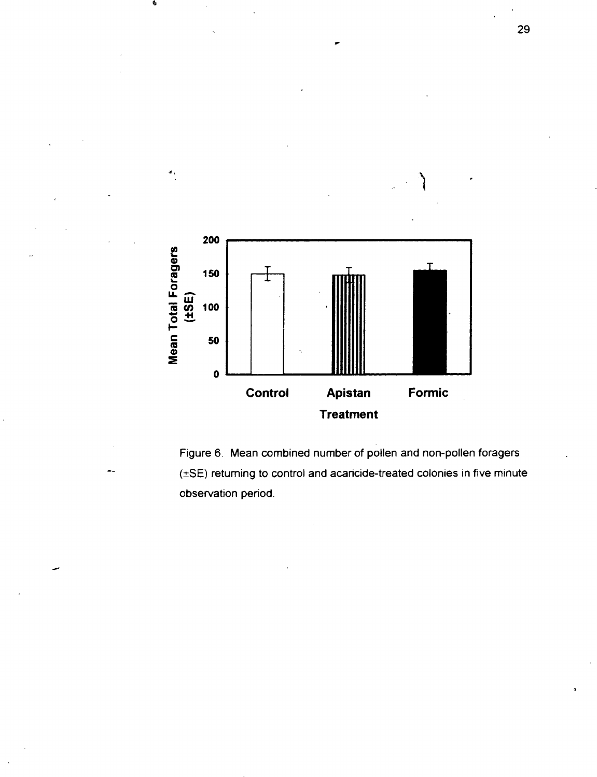

Figure 6. Mean combined number of pollen and non-pollen foragers  $(\pm SE)$  returning to control and acaricide-treated colonies in five minute observation period.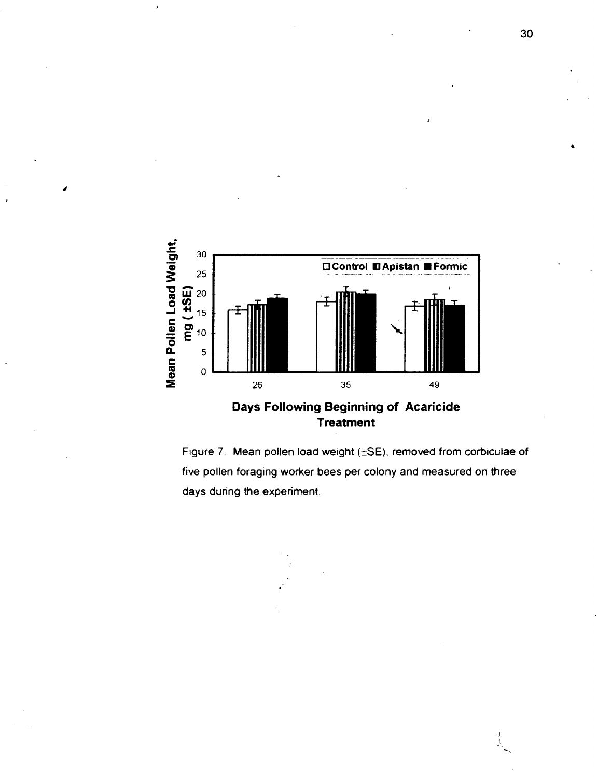





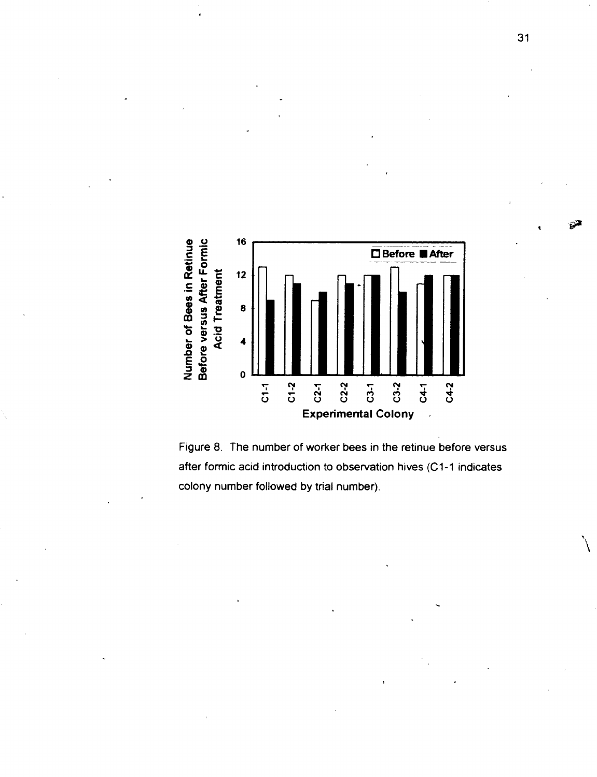

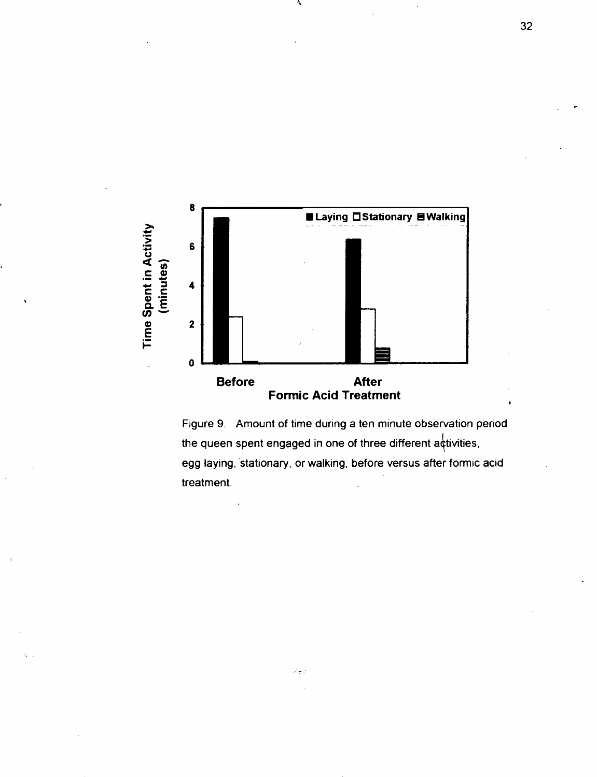

Figure 9. Amount of time during a ten minute observation period the queen spent engaged in one of three different activities, egg laying, 'stationary, or walking, before versus after formic acid treatment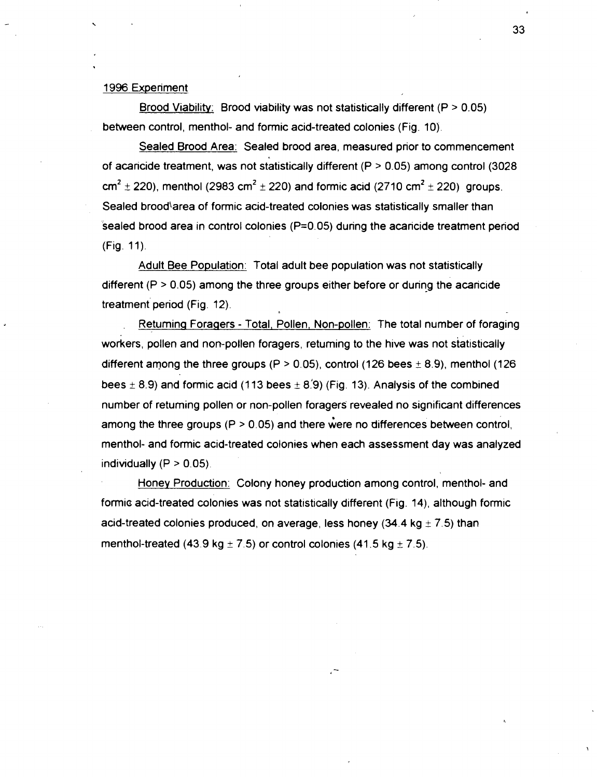#### 1996 Experiment

Brood Viability: Brood viability was not statistically different ( $P > 0.05$ ) between control, menthol- and formic acid-treated colonies (Fig. 10).

Sealed Brood Area: Sealed brood area, measured prior to commencement of acaricide treatment, was not statistically different ( $P > 0.05$ ) among control (3028)  $cm^{2} \pm 220$ , menthol (2983 cm<sup>2</sup>  $\pm$  220) and formic acid (2710 cm<sup>2</sup>  $\pm$  220) groups. Sealed brood<sup>\</sup>area of formic acid-treated colonies was statistically smaller than sealed brood area in control colonies  $(P=0.05)$  during the acaricide treatment period (Fig. 11).

Adult Bee Population: Total adult bee population was not statistically different ( $P > 0.05$ ) among the three groups either before or during the acaricide treatment period (Fig. 12).

. Retuminq Foraqers - Total, Pollen, Non-pollen: The total number of foraging workers, pollen and non-pollen foragers, retuming to the hive was not statistically different among the three groups (P  $>$  0.05), control (126 bees  $\pm$  8.9), menthol (126 bees  $\pm$  8.9) and formic acid (113 bees  $\pm$  8.9) (Fig. 13). Analysis of the combined number of retuming pollen or non-pollen foragers revealed no significant differences among the three groups ( $P > 0.05$ ) and there were no differences between control. menthol- and formic acid-treated colonies when each assessment day was analyzed individually  $(P > 0.05)$ .

Honey Production: Colony honey production among control, menthol- and formic acid-treated colonies was not statistically different (Fig. 14), although formic acid-treated colonies produced, on average, less honey (34.4 kg  $\pm$  7.5) than menthol-treated (43.9 kg  $\pm$  7.5) or control colonies (41.5 kg  $\pm$  7.5).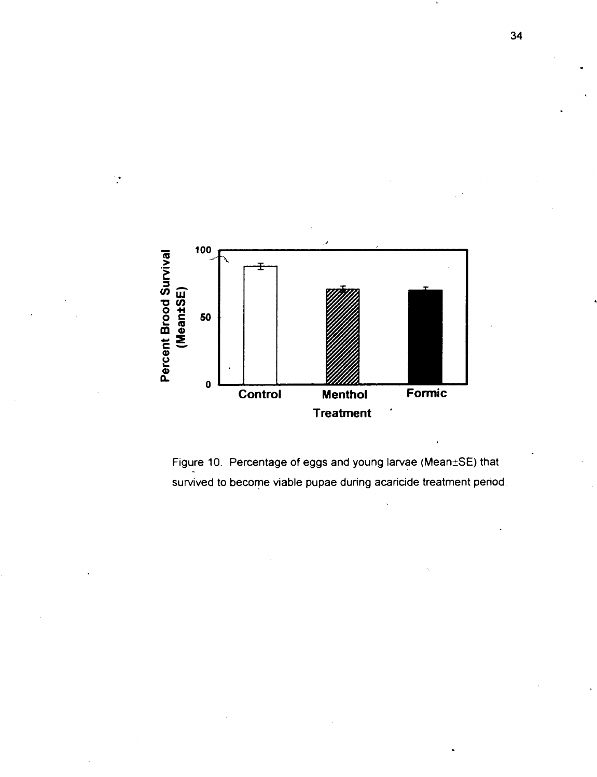

Figure 10. Percentage of eggs and young larvae (Mean±SE) that survived to become viable pupae during acaricide treatment period.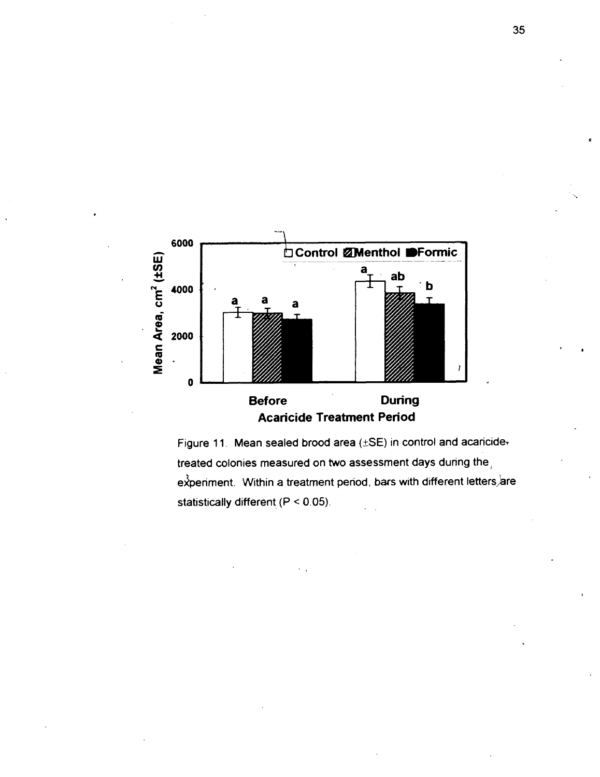

Figure 11. Mean sealed brood area  $(\pm SE)$  in control and acaricidetreated colonies measured on two assessment days during the,  $e^{\lambda}$ penment. Within a treatment period, bars with different letters, are statistically different  $(P < 0.05)$ .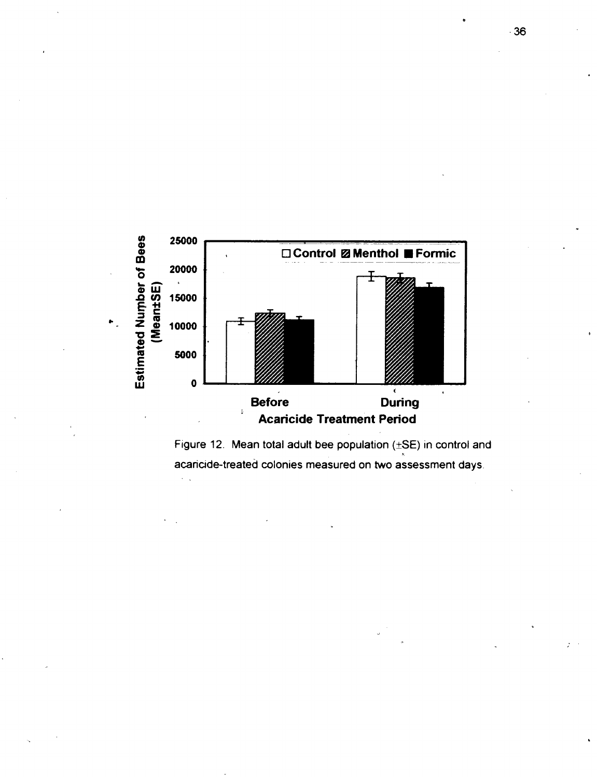

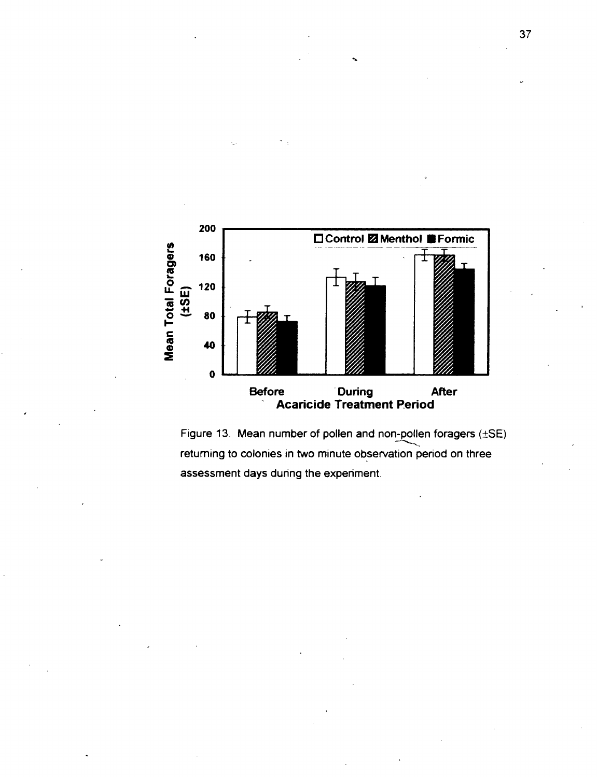

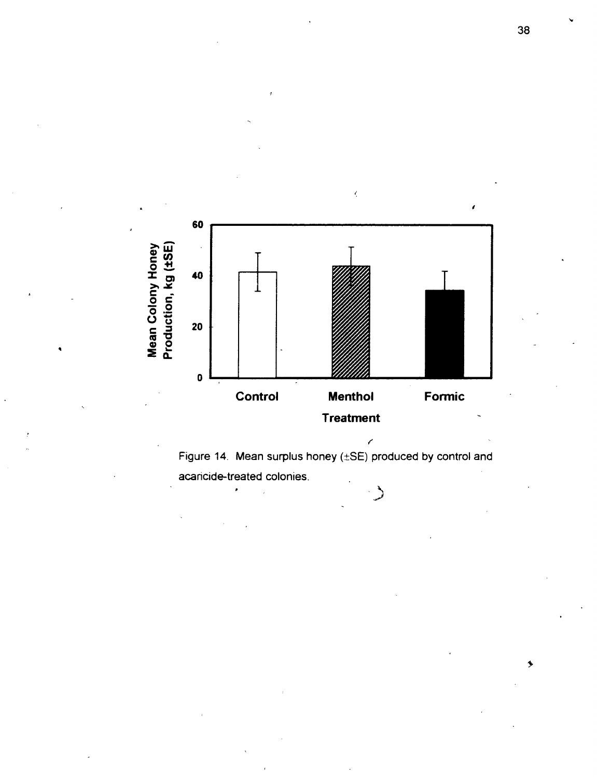

 $\zeta$ 

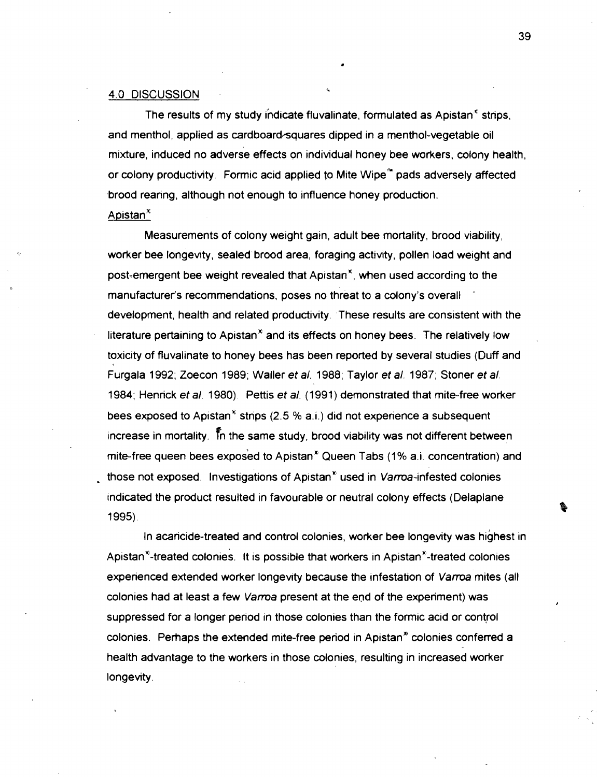#### 4.0 DISCUSSION

The results of my study indicate fluvalinate, formulated as Apistan<sup>\*</sup> strips, and menthol, applied as cardboard-squares dipped in a menthol-vegetable oil mixture, induced no adverse effects on individual honey bee workers, colony health, or colony productivity. Formic acid applied to Mite Wipe<sup>n</sup> pads adversely affected ,brood rearing, although not enough to influence honey production.

## Apistan $^*$

Measurements of colony weight gain, adult bee mortality, brood viability, worker bee longevity, sealed'brood area, foraging activity, pollen load weight and post-emergent bee weight revealed that Apistan", when used according to the manufacturer's recommendations, poses no threat to a colony's overall ' development, health and related productivity. These results are consistent with the literature pertaining to Apistan $<sup>*</sup>$  and its effects on honey bees. The relatively low</sup> toxicity of fluvalinate to honey bees has been reported by several studies (Duff and Furgala 1992; Zoecon 1989; Waller et a/. 1988; Taylor et a/. 1987; Stoner et a/. 1984; Henrick et **a/.** 1980). Pettis et a/. (1991) demonstrated that mite-free worker bees exposed to Apistan<sup>\*</sup> strips (2.5 % a.i.) did not experience a subsequent increase in mortality. Th the same study, brood viability was not different between mite-free queen bees exposed to Apistan<sup>»</sup> Queen Tabs (1% a.i. concentration) and those not exposed. Investigations of Apistan<sup> $n$ </sup> used in Varroa-infested colonies indicated the product resulted in favourable or neutral colony effects (Delaplane 1 995).

In acaricide-treated and control colonies, worker bee longevity was highest in Apistan<sup> $x$ </sup>-treated colonies. It is possible that workers in Apistan $x$ -treated colonies experienced extended worker longevity because the infestation of Varroa mites (all colonies had at least a few Varroa present at the end of the experiment) was suppressed for a longer period in those colonies than the formic acid or control colonies. Perhaps the extended mite-free period in Apistan<sup>®</sup> colonies conferred a health advantage to the workers in those colonies, resulting in increased worker longevity.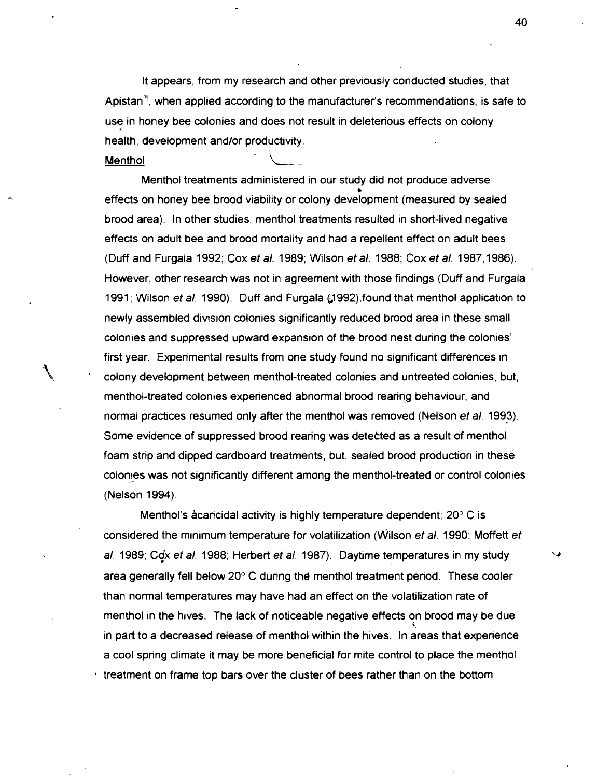It appears, from my research and other previously conducted studies, that Apistan<sup>\*</sup>, when applied according to the manufacturer's recommendations, is safe to use in honey bee colonies and does not result in deleterious effects on colony health, development and/or productivity.<br>Menthol

Menthol treatments administered in our study did not produce adverse effects on honey bee brood viability or colony development (measured by sealed brood area). In other studies, menthol treatments resulted in short-lived negative effects on adult bee and brood mortality and had a repellent effect on adult bees (Duff and Furgala 1992; Cox et a/. 1989; Wilson et a/. 1988; Cox et a/. 1987,1986) However, other research was not in agreement with those findings (Duff and Furgala 1991 ; Wilson et **a/.** 1990). Duff and Furgala (J992).found that menthol application to newly assembled divtsion colonies significantly reduced brood area in these small colonies and suppressed upward expansion of the brood nest during the colonies' first year. Experimental results from one study found no significant differences in 1 ' colony development between menthol-treated colonies and untreated colonies, but, menthol-treated colonies experienced abnormal brood rearing behaviour, and normal practices resumed only after the menthol was removed (Nelson et al. 1993). Some evidence of suppressed brood rearing was detected as a result of menthol foam strip and dipped cardboard treatments, but, sealed brood production in these colonies was not significantly different among the menthol-treated or control colonies (Nelson 1994).

Menthol's acaricidal activity is highly temperature dependent;  $20^{\circ}$  C is considered the minimum temperature for volatilization (Wilson et al. 1990; Moffett et a/. 1989; **Cqx** et a/. 1988; Herbert et a/. 1987). Daytime temperatures in my study area generally fell below  $20^{\circ}$  C during the menthol treatment period. These cooler than normal temperatures may have had an effect on the volatilization rate of menthol in the hives. The lack of noticeable negative effects on brood may be due uiiza<br>วุก bi<br>⊱ากว in part to a decreased release of menthol within the hives. In areas that experience a cool spring climate it may be more beneficial for mite control to place the menthol  $t$  treatment on frame top bars over the cluster of bees rather than on the bottom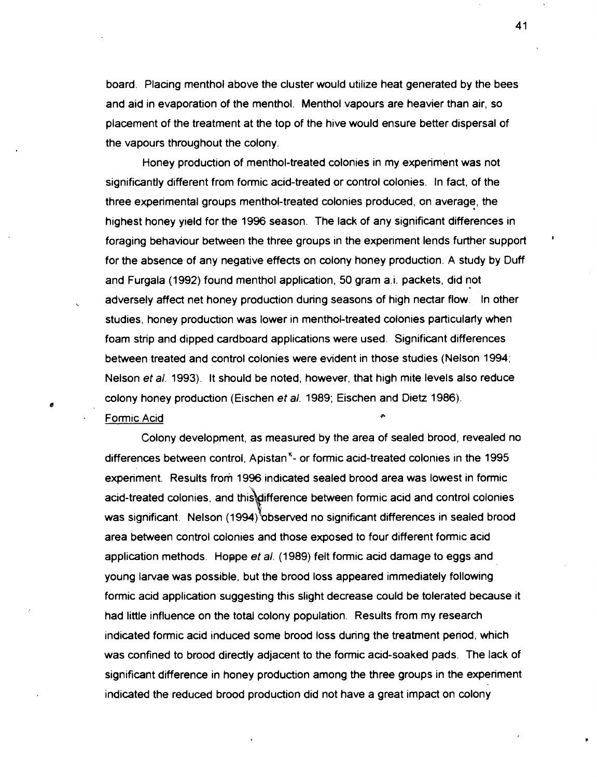board. Placing menthol above the cluster would utilize heat generated by the bees and aid in evaporation of the menthol. Menthol vapours are heavier than air, so placement of the treatment at the top of the hive would ensure better dispersal of the vapours throughout the colony.

Honey production of menthol-treated colonies in my experiment was not significantly different from formic acid-treated or control colonies. In fact, of the three experimental groups menthol-treated colonies produced, on average, the highest honey yield for the 1996 season. The lack of any significant differences in foraging behaviour between the three groups in the experiment lends further support ' for the absence of any negative effects on colony honey production. A study by Duff and Furgala (1992) found menthol application, 50 gram a.i. packets, did not adversely affect net honey production during seasons of high nectar flow. In other studies, honey production was lower in menthol-treated colonies particularly when foam strip and dipped cardboard applications were used. Significant differences between treated and control colonies were evident in those studies (Nelson 1994; Nelson et al. 1993). It should be noted, however, that high mite levels also reduce colony honey production (Eischen et al. 1989; Eischen and Dietz 1986).

#### Formic Acid

Colony development, as measured by the area of sealed brood, revealed no differences between control, Apistan<sup>\*</sup>- or formic acid-treated colonies in the 1995 experiment. Results from 1996 indicated sealed brood area was lowest in formic acid-treated colonies, and this difference between formic acid and control colonies was significant. Nelson (1994) observed no significant differences in sealed brood area between control colonies and those exposed to four different formic acid application methods. Hoppe et al. (1989) felt formic acid damage to eggs and young larvae was possible, but the brood loss appeared immediately following formic acid application suggesting this slight decrease could be tolerated because it had little influence on the total colony population. Results from my research indicated formic acid induced some brood loss during the treatment period, which was confined to brood directly adjacent to the formic acid-soaked pads. The lack of significant difference in honey production among the three groups in the experiment indicated the reduced brood production did not have a great impact on colony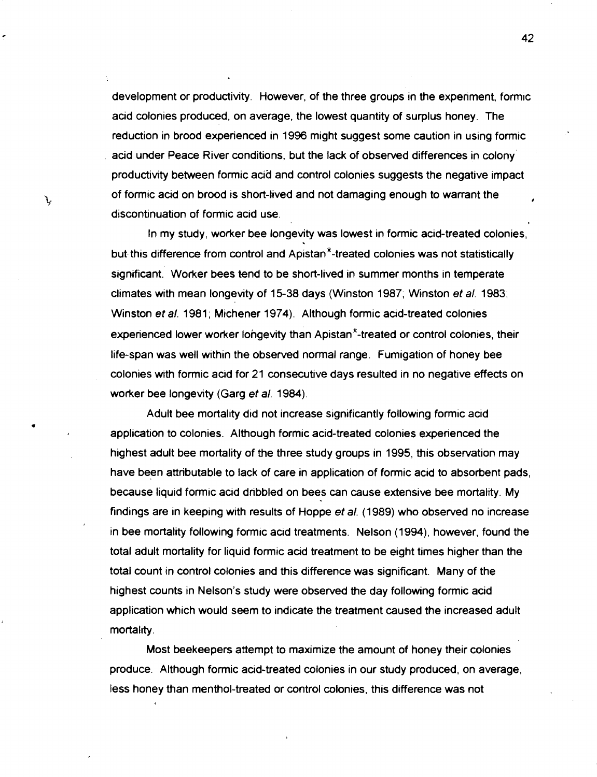development or productivity. However, of the three groups in the experiment, formic acid colonies produced, on average, the lowest quantity of surplus honey. The reduction in brood experienced in 1996 might suggest some caution in using formic acid under Peace River conditions, but the lack of observed differences in colony productivity between formic acid and control colonies suggests the negative impact of formic acid on brood is short-lived and not damaging enough to warrant the # discontinuation of formic acid use.

In my study, worker bee longevity was lowest in formic acid-treated colonies, but this difference from control and Apistan<sup>®</sup>-treated colonies was not statistically significant. Worker bees tend to be short-lived in summer months in temperate climates with mean longevity of 15-38 days (Winston 1987; Winston et al. 1983; Winston et al. 1981; Michener 1974). Although formic acid-treated colonies experienced lower worker longevity than Apistan $^x$ -treated or control colonies, their life-span was well within the observed normal range. Fumigation of honey bee colonies with formic acid for 21 consecutive days resulted in no negative effects on worker bee longevity (Garg et al. 1984).

Adult bee mortality did not increase significantly following formic acid application to colonies. Although formic acid-treated colonies experienced the highest adult bee mortality of the three study groups in 1995, this observation may have been attributable to lack of care in application of formic acid to absorbent pads, because liquid formic acid dribbled on bees can cause extensive bee mortality. My findings are in keeping with results of Hoppe et **a/.** (1989) who observed no increase in bee mortality following formic acid treatments. Nelson (1994), however, found the total adult mortality for liquid formic acid treatment to be eight times higher than the total count in control colonies and this difference was significant. Many of the highest counts in Nelson's study were observed the day following formic acid application which would seem to indicate the treatment caused the increased adult mortality.

**1** 

J.

Most beekeepers attempt to maximize the amount of honey their colonies produce. Although formic acid-treated colonies in our study produced, on average, less honey than menthol-treated or control colonies, this difference was not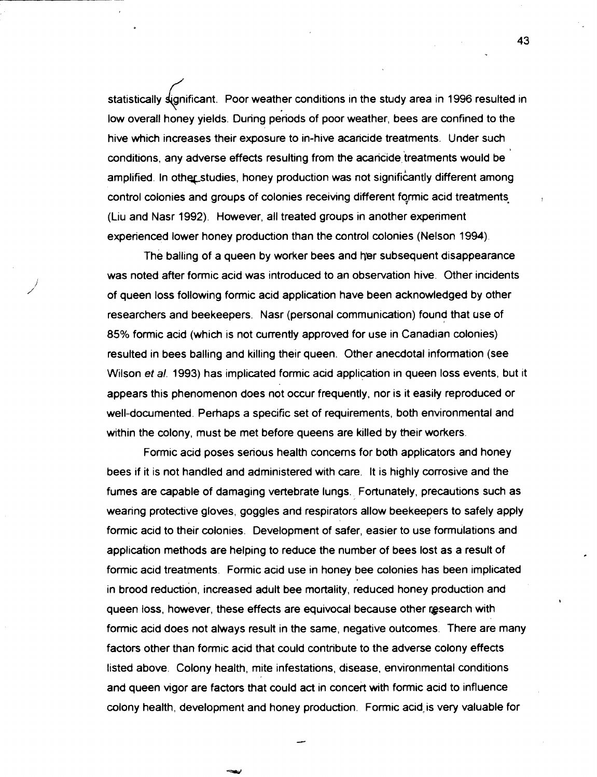statistically significant. Poor weather conditions in the study area in 1996 resulted in low overall honey yields. During periods of poor weather, bees are confined to the hive which increases their exposure to in-hive acaricide treatments. Under such conditions, any adverse effects resulting from the acaricide treatments would be amplified. In other studies, honey production was not significantly different among control colonies and groups of colonies receiving different formic acid treatments (Liu and Nasr 1992). However, all treated groups in another experiment experienced lower honey production than the control colonies (Nelson 1994).

The balling of a queen by worker bees and her subsequent disappearance was noted after formic acid was introduced to an observation hive. Other incidents of queen loss following formic acid application have been acknowledged by other researchers and beekeepers. Nasr (personal communication) found that use of 85% formic acid (which is not currently approved for use in Canadian colonies) resulted in bees balling and killing their queen. Other anecdotal information (see Wilson et al. 1993) has implicated formic acid application in queen loss events, but it appears this phenomenon does not occur frequently, nor is it easily reproduced or well-documented. Perhaps a specific set of requirements, both environmental and within the colony, must be met before queens are killed by their workers.

Formic acid poses serious health concerns for both applicators and honey bees if it is not handled and administered with care. It is highly corrosive and the fumes are capable of damaging vertebrate lungs., Fortunately, precautions such as wearing protective gloves, goggles and respirators allow beekeepers to safely apply formic acid to their colonies. Development of safer, easier to use formulations and application methods are helping to reduce the number of bees lost as a result of formic acid treatments. Formic acid use in honey bee colonies has been implicated in brood reduction, increased adult bee mortality, reduced honey production and queen loss, however, these effects are equivocal because other research with formic acid does not atways result in the same, negative outcomes. There are many factors other than formic acid that could contribute to the adverse colony effects listed above. Colony health, mite infestations, disease, environmental conditions and queen vigor are factors that could act in concert with formic acid to influence colony health, development and honey production. Formic acid" is very valuable for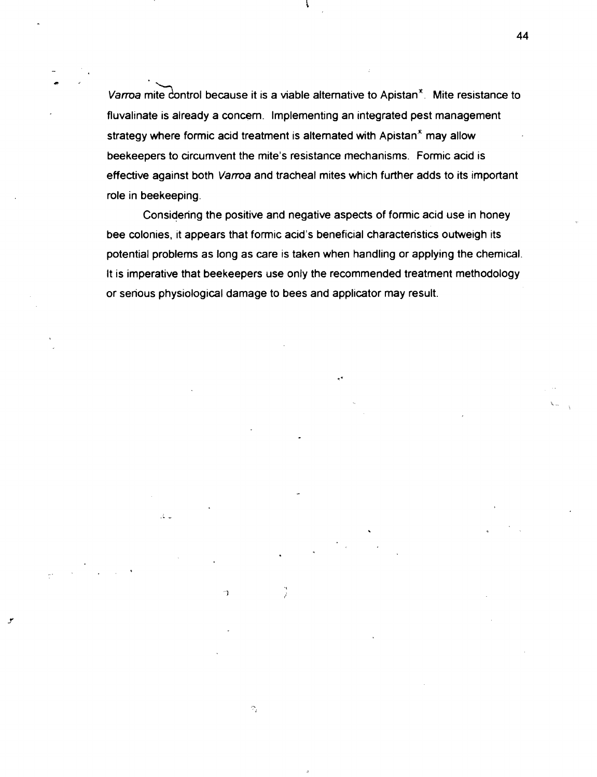Varroa mite control because it is a viable alternative to Apistan $x$ . Mite resistance to fluvalinate is already a concern. Implementing an integrated pest management strategy where formic acid treatment is alternated with Apistan<sup>\*</sup> may allow beekeepers to circumvent the mite's resistance mechanisms. Formic acid is effective against both Varroa and tracheal mites which further adds to its important role in beekeeping.

Considering the positive and negative aspects of formic acid use in honey bee colonies, it appears that formic acid's beneficial characteristics outweigh its potential problems as long as care is taken when handling or applying the chemical. It is imperative that beekeepers use only the recommended treatment methodology or serious physiological damage to bees and applicator may result.

 $\Lambda$ 

ា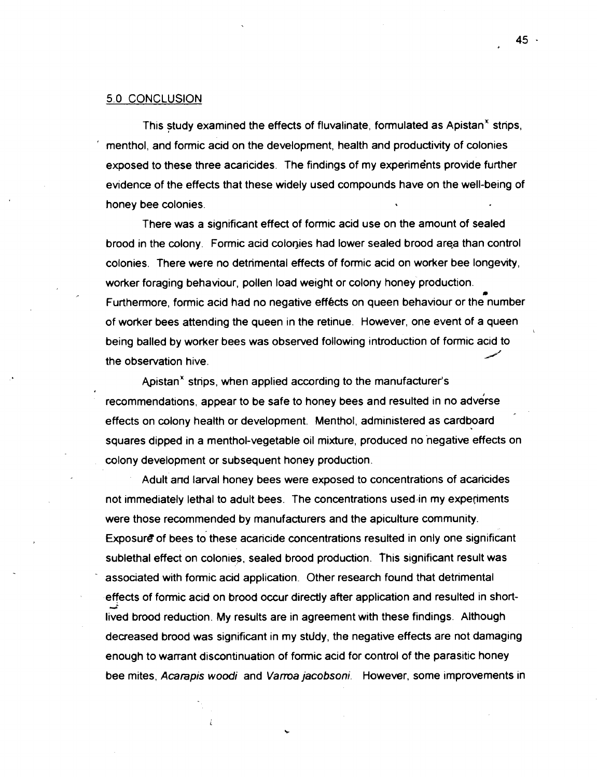#### 5.0 CONCLUSION

This study examined the effects of fluvalinate, formulated as Apistan $<sup>x</sup>$  strips,</sup> ' menthol, and formic acid on the development, health and productivity of colonies exposed to these three acaricides. The findings of my experiments provide further evidence of the effects that these widely used compounds have on the well-being of honey bee colonies.<br>There was a significant effect of formic acid use on the amount of sealed

brood in the colony. Formic acid colonies had lower sealed brood area than control colonies. There were no detrimental effects of formic acid on worker bee longevity, worker foraging behaviour, pollen load weight or colony honey production. Furthermore, formic acid had no negative effects on queen behaviour or the number of worker bees attending the queen in the retinue. However, one event of a queen c being balled by worker bees was observed following introduction of formic acid to<br>the observation hive.

Apistan" strips, when applied according to the manufacturer's recommendations, appear to be safe to honey bees and resulted in no adverse effects on colony health or development. Menthol, administered as cardboard squares dipped in a menthol-vegetable oil mixture, produced no negative effects on colony development or subsequent honey production

Adult and larval honey bees were exposed to concentrations of acaricides not immediately lethal to adult bees. The concentrations used'in my expefiments were those recommended by manufacturers and the apiculture community. Exposure of bees to these acaricide concentrations resulted in only one significant sublethal effect on colonies, sealed brood production. This significant result was associated with formic acid application. Other research found that detrimental effects of formic acid on brood occur directly after application and resulted in shortlived brood reduction. My results are in agreement with these findings. Although decreased brood was significant in my stddy, the negative effects are not damaging enough to warrant discontinwation of formic acid for control of the parasitic honey bee mites, **Acarapis woodi** and **Vama jacobsoni.** However, some improvements in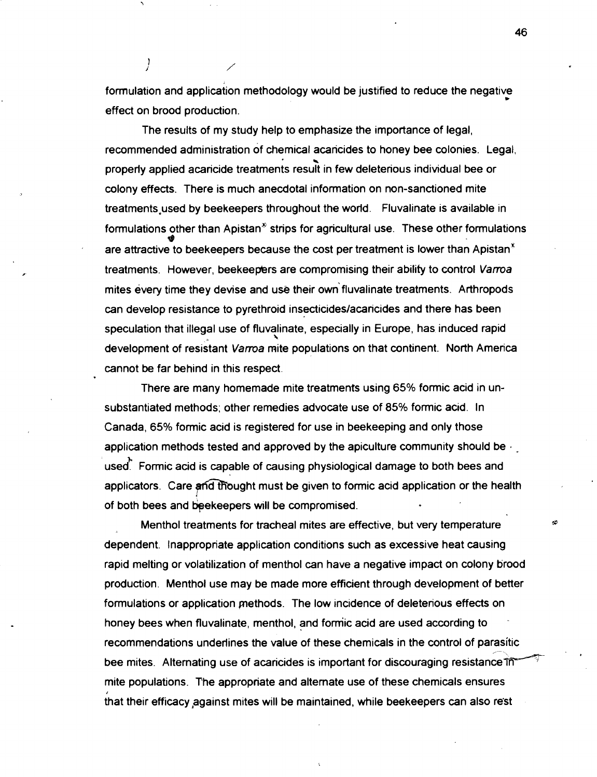formulation and application methodology would be justified to reduce the negative \* effect on brood production.

The results of my study help to emphasize the importance of legal, recommended administration of chemical acancides to honey bee colonies. Legal, properly applied acaricide treatments result in few deleterious individual bee or colony effects. There is much anecdotal information on non-sanctioned mite treatments used by beekeepers throughout the world. Fluvalinate is available in formulations other than Apistan<sup> $\delta$ </sup> strips for agricultural use. These other formulations are attractive to beekeepers because the cost per treatment is lower than Apistan<sup>\*</sup> treatments. However, beekeepers are compromising their ability to control Varroa mites every time they devise and use their own fluvalinate treatments. Arthropods can develop resistance to pyrethroid insecticideslacaricides and there has been speculation that illegal use of fluvalinate, especially in Europe, has induced rapid \ development of resistant Varroa mite populations on that continent. North America cannot be far behind in this respect.

There are many homemade mite treatments using 65% formic acid in unsubstantiated methods; other remedies advocate use of 85% formic acid. In Canada, 65% formic acid is registered for use in beekeeping and only those application methods tested and approved by the apiculture community should be . **1.** used. Formic acid is capable of causing physiological damage to both bees and applicators. Care and thought must be given to formic acid application or the health of both bees and bekeepers wll be compromised.

Menthol treatments for tracheal mites are effective, but very temperature dependent. Inappropriate application conditions such as excessive heat causing rapid melting or volatilization of menthol can have a negative impact on colony brood production. Menthol use may be made more efficient through development of better formulations or application pethods. The low incidence of deleterious effects on honey bees when fluvalinate, menthol, and fomiic acid are used according to recommendations underlines the value of these chemicals in the control of parasitic bee mites. Alternating use of acaricides is important for discouraging resistance in mite populations. The appropriate and alternate use of these chemicals ensures that their efficacy against mites will be maintained, while beekeepers can also rest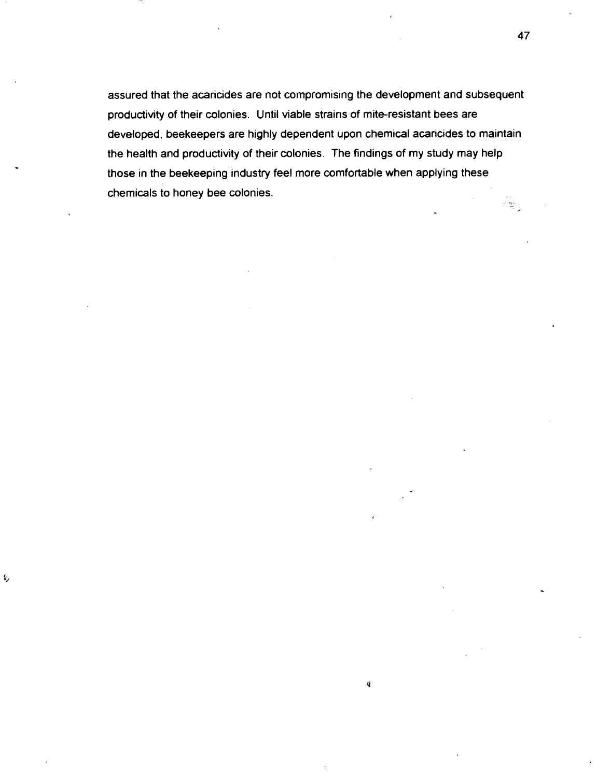assured that the acaricides are not compromising the development and subsequent productivity of their colonies. Until viable strains of mite-resistant bees are developed, beekeepers are highly dependent upon chemical acaricides to maintain the health and productivity of their colonies. The findings of my study may help those in the beekeeping industry feel more comfortable when applying these chemicals to honey bee colonies. -

 $\ell_2^2$ 

ŧ,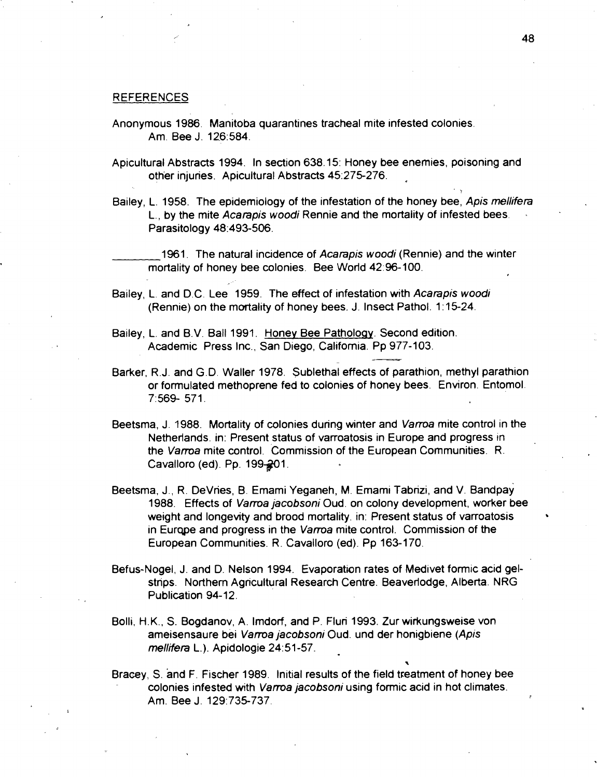#### REFERENCES

- Anonymous **1986.** Manitoba quarantines tracheal mite infested colonies. Am. Bee J. 126:584.
- Apicultural Abstracts **1994.** In section **638.15:** Honey bee enemies, poisoning and other injuries. Apicultural Abstracts **45:275-276.**
- Bailey, L. **1958.** The epidemiology of the infestation of the honey bee, Apis mellifera L., by the mite Acarapis woodi Rennie and the mortality of infested bees. Parasitology **48:493-506.**

1961. The natural incidence of Acarapis woodi (Rennie) and the winter mortality of honey bee colonies. Bee World 42:96-100.

- Bailey, L. and D.C. Lee 1959. The effect of infestation with Acarapis woodi (Rennie) on the mortality of honey bees. J. Insect Pathol. **1** : **15-24.**
- Bailey, L. and B.V. Ball **1991.** Honey Bee Patholoqy. Second edition. L. and B.V. Ball 1991. Honey Bee Pathology. Second editional Academic Press Inc., San Diego, California. Pp 977-103.
- Barker, R. J. and G. D. Waller **1978.** Sublethal effects of parathion, methyl parathion or formulated methoprene fed to colonies of honey bees. Environ. Entomol. **7:569- 571.**
- Beetsma, J. **1988.** Mortality of colonies during winter and Vama mite control in the Netherlands. in: Present status of varroatosis in Europe and progress in the Vama mite control. Commission of the European Communities. R. Cavalloro (ed). Pp. 199-201.
- Beetsma, J., R. DeVries, B. Emami Yeganeh, M. Emami Tabrizi, and V. Bandpay **1988.** Effects of Vama jacobsoni Oud. on colony development, worker bee weight and longevity and brood mortality. in: Present status of varroatosis in Eurqpe and progress in the Vama mite control. Commission of the European Communities. R. Cavalloro (ed). Pp **163-170.**
- Befus-Nogel, J. and D. Nelson **1994.** Evaporation rates of Medivet formic acid gelstrips. Northern Agricultural Research Centre. Beaverlodge, Alberta. NRG Publication **94-12.**
- Bolli, H.K., S. Bogdanov, A. Imdorf, and P. Fluri **1993.** Zur wirkungsweise von ameisensaure bei Vama jacobsoni Oud. und der honigbiene (Apis meliifera L.). Apidologie **24:51-57.**
- Bracey, S. and F. Fischer **1989.** Initial results of the field treatment of honey bee colonies infested with Vama jacobsoni using formic acid in hot climates. Am. Bee J. **129:735-737.**

 $\ddot{\phantom{0}}$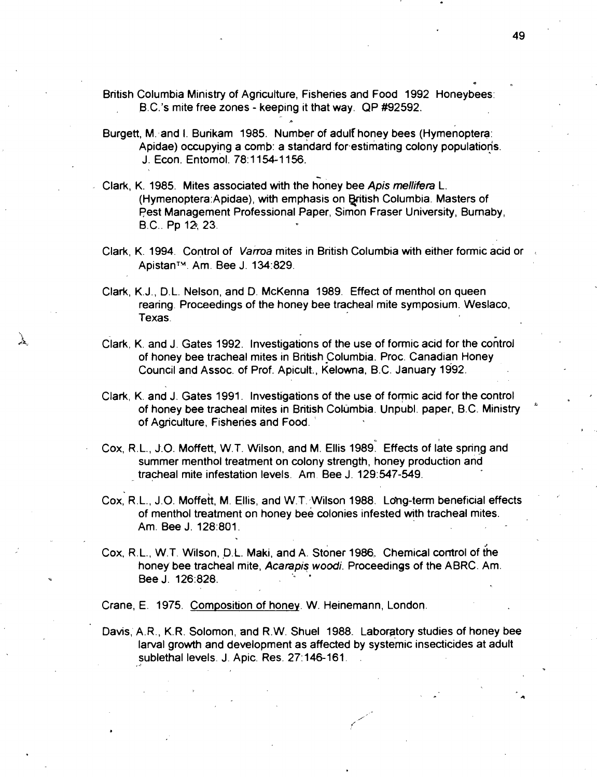British Columbia Ministry of Agricutture, Fisheries and Food 1992 Honeybees: B.C.'s mite free zones - keeping it that way. QP #92592.

**P** 

- Burgett, M.: and I. Burikam 1985. Number of adulf honey bees (Hymenoptera: Apidae) occupying a comb: a standard forestimating colony populations. J. Econ. Entomol. 78:1154-1156.
- Clark, K. 1985. Mites associated with the honey bee Apis mellifera L. (Hymenoptera:Apidae), with emphasis on British Columbia. Masters of pest Management Professional Paper, Simon Fraser University, Bumaby, B.C.. Pp 12, 23.
- Clark, K. 1994. Control of Varroa mites in British Columbia with either formic acid or ApistanTw. Am. Bee J. 134:829.
- Clark, K.J., D.L. Nelson, and D. McKenna 1989. Effect of menthol on queen rearing. Proceedings of the honey bee tracheal mite symposium. Weslaco, Texas.
- Clark, K. and J. Gates 1992. Investigations of the use of formic acid for the cohtrol of honey bee tracheal mites in British Columbia. Proc. Canadian Honey Council and Assoc. of Prof. Apicult., Kelowna, B.C. January 1992.
- Clark, K. and J. Gates 1991. Investigations of the use of formic acid for the control of honey bee tracheal mites in British Cokjmbia. Unpubl. paper, B.C. Ministry " of Agnculture, Fisheries and Food.
- Cox. R.L., J.O. Moffett, W.T. Wilson, and M. Ellis 1989. Effects of late spring and summer menthol treatment on colony strength, honey production and tracheal mite infestation levels. Am. Bee J. 129:547-549.
- Cox, R.L., J.O. Moffett, M. Ellis, and W.T. Wilson 1988. Long-term beneficial effects of menthol treatment on honey bee colonies infested with tracheal mites. Am. Bee J. 128:801.
- Cox. R.L.. W.T. Wilson. **P.L.** Maki, and A stoner 1986 Chemical control of (he honey bee tracheal mite, **Acarapis wood;.** Proceedings of the ABRC. Am. Bee J. 126:82%.

Crane, E. 1975. Composition of honey. W. Heinemann, London.

Davis, A.R., K.R. Solomon, and R.W. Shuel 1988. Laboratory studies of honey bee larval growth and development as affected by systemic insecticides at adult sublethal levels. J. Apic. Res. 27:146-161.

49

**I** 

\*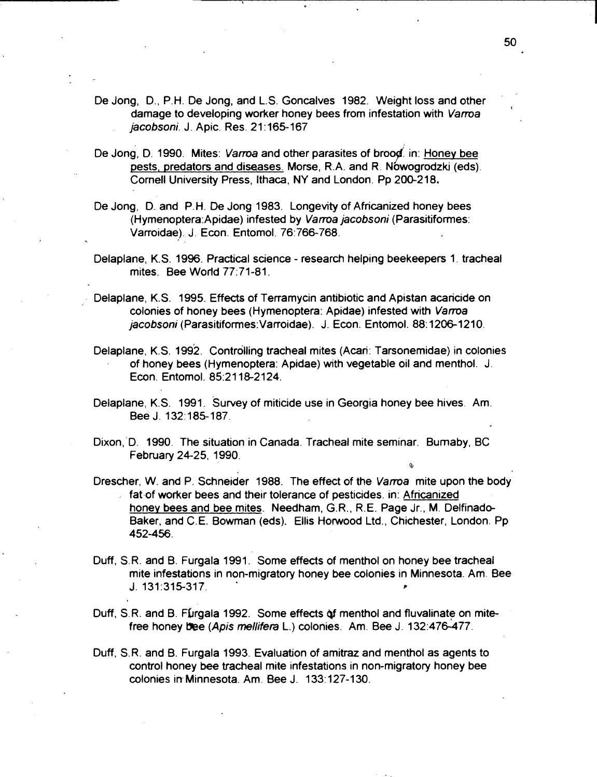- De Jong, D., P.H. De Jong, and L.S. Goncalves 1982. Weight loss and other damage to developing worker honey bees from infestation with Vama **<sup>I</sup>** jacobsoni. J. Apic. Res. 21 : 165-167
- De Jong. D. 1990. Mites: Varroa and other parasites of brood. in: Honey bee pests, predators and diseases. Morse, R.A. and R. Nowogrodzki (eds). Cornell University Press, Ithaca, NY and London. Pp 200-218,
- De Jong, D. and P.H. **De** Jong 1983. Longevity of Africanized honey bees (Hymenoptera:Apidae) infested by Varroa jacobsoni (Parasitiformes: Varroidae). J. Econ. Entomol. 76:766-768.
- Delaplane, K.S. 1996. Practical science research helping beekeepers 1. tracheal mites. Bee World 77:71-81.
- Delaplane, K.S. 1995. Effects of Terramycin antibiotic and Apistan acaricide on colonies of honey bees (Hymenoptera: Apidae) infested with Vama jacobsoni (Parasitiformes: Varroidae). J. Econ. Entomol. 88:1206-1210.
- Delaplane, K.S. 1992. Controlling tracheal mites (Acari: Tarsonemidae) in colonies of honey bees (Hymenoptera: Apidae) with vegetable oil and menthol. J. Econ. Entomol. 85:211&2124.
- Delaplane, K.S. 1991. Survey of miticide use in Georgia honey bee hives. Am. Bee J. 132.185-187.
- Dixon,'D. 1990. The situation in Canada. Tracheal mite seminar. Bumaby, BC February 24-25, 1990.
- Drescher, W. and P. Schneider 1988. The effect of the Varroa mite upon the body fat of worker bees and their tolerance of pesticides. in: Africanized honey bees and bee mites. Needham, G.R., R.E. Page Jr., M. Delfinado-Baker, and C.E. Bowman (eds). Ellis Hotwood Ltd., Chichester, London. Pp 452-456.
- Duff, S.R. and B. Furgala 1991. Some effects of menthol on honey bee tracheal mite infestations in non-migratory honey bee colonies in Minnesota. Am. Bee J. 131:315-317. **I**
- Duff, S.R. and B. Furgala 1992. Some effects of menthol and fluvalinate on mitefree honey bee (Apis mellifera L.) colonies. Am. Bee J. 132:476-477.
- Duff, S.R. and B. Furgala 1993. Evaluation of amitraz and menthol as agents to control honey bee tracheal mite infestations in non-migratory honey bee colonies in Minnesota. Am. Bee J. 133:127-130.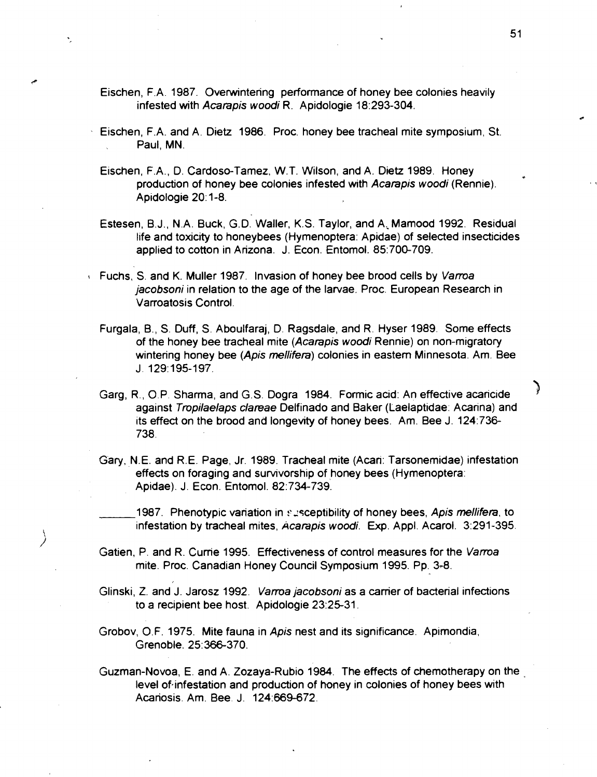- Eischen, F.A. 1987. Ovetwintering performance of honey bee colonies heavily infested with Acarapis woodi R. Apidologie 18:293-304.
- Eischen, F.A. and A. Dietz 1986. Proc. honey bee tracheal mite symposium, St. Paul, MN.
- Eischen, F.A., D. Cardoso-Tamez, W.T. Wilson, and A. Dietz 1989. Honey production of honey bee colonies infested with Acarapis woodi (Rennie). Apidologie 20: 1-8.
- Estesen, B.J., N.A. Buck, G.D. Waller, K.S. Taylor, and A; Mamood 1992. Residual life and toxicity to honeybees (Hymenoptera: Apidae) of selected insecticides applied to cotton in Arizona. J. Econ. Entomol. 85:700-709.
- **t** Fuchs, S. and K. Muller 1987. Invasion of honey bee brood cells by Varroa jacobsoni in relation to the age of the larvae. Proc. European Research in Varroatosis Control.
	- Furgala, B., S. Duff, S. Aboulfaraj, D. Ragsdale, and R. Hyser 1989. Some effects of the honey bee tracheal mite (Acarapis woodi Rennie) on non-migratory wintering honey bee (Apis mellifera) colonies in eastern Minnesota. Am. Bee J. 129:195-197.
	- Garg, R., O.P. Sharma, and G.S. Dogra 1984. Formic acid: An effective acaricide against Tropilaelaps clareae Delfinado and Baker (Laelaptidae: Acarina) and its effect on the brood and longevity of honey bees. Am. Bee J. 124:736- 738.
	- Gary, N.E. and R.E. Page, Jr. 1989. Tracheal mite (Acari: Tarsonemidae) infestation effects on foraging and survivorship of honey bees (Hymenoptera: Apidae). J. Econ. Entomol. 82:734-739.
		- 1987. Phenotypic variation in susceptibility of honey bees, Apis mellifera, to infestation by tracheal mites, Acarapis woodi. **Exp.** Appl. Acarol. 3:291-395.
	- Gatien, P. and R. Currie 1995. Effectiveness of control measures for the Varroa mite. Proc. Canadian Honey Council Symposium 1995. Pp. 3-8.
	- Glinski, Z. and J. Jarosz 1992. Varroa jacobsoni as a carrier of bacterial infections to a recipient bee host. Apidologie 23:25-31.
	- Grobov, O.F. 1975. Mite fauna in Apis nest and its significance. Apimondia, Grenoble. 25:366-370.
	- Guzman-Novoa, E. and A. Zozaya-Rubio 1984. The effects of chemotherapy on the level of infestation and production of honey in colonies of honey bees with Acariosis. Am. Bee. J. 124569-672.

℩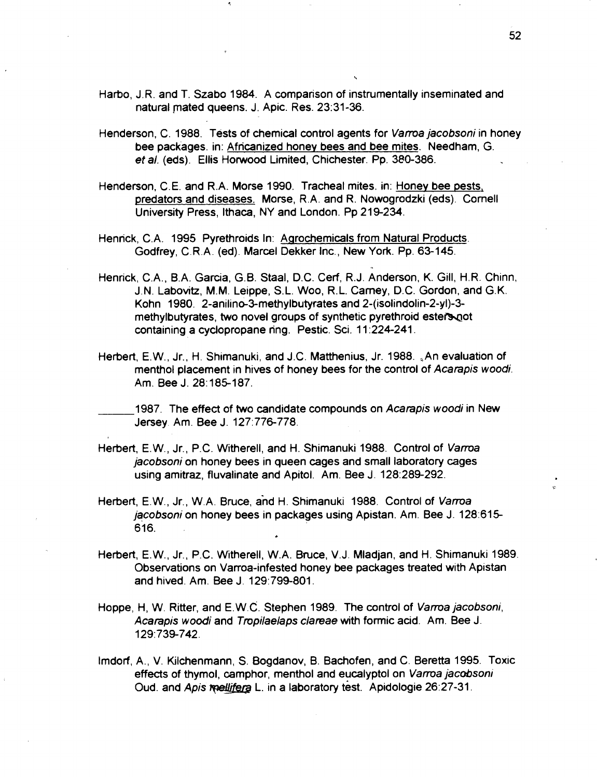- Harbo, J.R. and T. Szabo 1984. A comparison of instrumentally inseminated and natural mated queens. J. Apic. Res. 23:31-36.
- Henderson, C. 1988. Tests of chemical control agents for **Vama jacobsoni** in honey bee packages. in: Africanized honey bees and bee mites. Needham, G. et **a/.** (eds). Ellis Horwood Limited, Chichester. Pp. 380-386.
- Henderson, C.E. and R.A. Morse 1990. Tracheal mites. in: Honey bee pests, predators and diseases. Morse, R.A. and R. Nowogrodzki (eds). Comell University Press, Ithaca, NY and London. Pp 219-234.
- Henrick, C.A. 1995 Pyrethroids In: Aarochemicals from Natural Products. Godfrey, C.R.A. (ed). Marcel Dekker lnc., New York. Pp. 63-145.
- Henrick, C.A., B.A. Garcia, G.B. Staal, D.C. Cerf, R.J. Anderson, K. Gill, H.R. Chinn, J. N. Labovitz, M.M. Leippe, S.L. Woo, R. L. Carney, D.C. Gordon, and G. K. Kohn 1980. 2-anilino-3-methylbutyrates and 2-(isolindolin-2-yl)-3 methylbutyrates, two novel groups of synthetic pyrethroid esters not containing a cyclopropane ring. Pestic. Sci. 11:224-241.
- Herbert, E. W., Jr., H. Shimanuki, and J.C. Matthenius, Jr. 1988. ,An evaluation of menthol placement in hives of honey bees for the control of **Acarapis wood;.**  Am. Bee **J.** 28:185-187.
- 1987. The effect of two candidate compounds on **Acarapis woodi** in New Jersey Am. Bee J. 127:776-778.
- Herbert, E.W., Jr., P.C. Witherell, and H. Shimanuki 1988. Control of **Vama jacobsoni** on honey bees in queen cages and small laboratory cages using amitraz, fluvalinate and Apitol. Am. Bee J. 128:289-292.
- Herbert, E. W., Jr., W.A. Bruce, and H. Shimanuki 1988. Control of **Vama**  jacobsoni on honey bees in packages using Apistan. Am. Bee J. 128:615-616.
- Herbert, E.W., Jr., P.C. Witherell, W.A. Bruce, V.J. Mladjan, and H. Shimanuki 1989. Observations on Varroa-infested honey bee packages treated with Apistan and hived. Am. Bee J. 129:799-801.
- Hoppe, H, W. Ritter, and E.W.C. Stephen 1989. The control of **Vama jacobsoni, Acarapis woodi** and **Tropilaelaps clareae** with formic acid. Am. Bee J. 1 29: 739-742.
- Imdorf, A., V. Kilchenmann, S. Bogdanov, B. Bachofen, and C. Beretta 1995. Toxrc effects of thymol, camphor, menthol and eucalypt01 on **Vama jacobsoni**  Oud. and Apis **reallifera** L. in a laboratory test. Apidologie 26:27-31.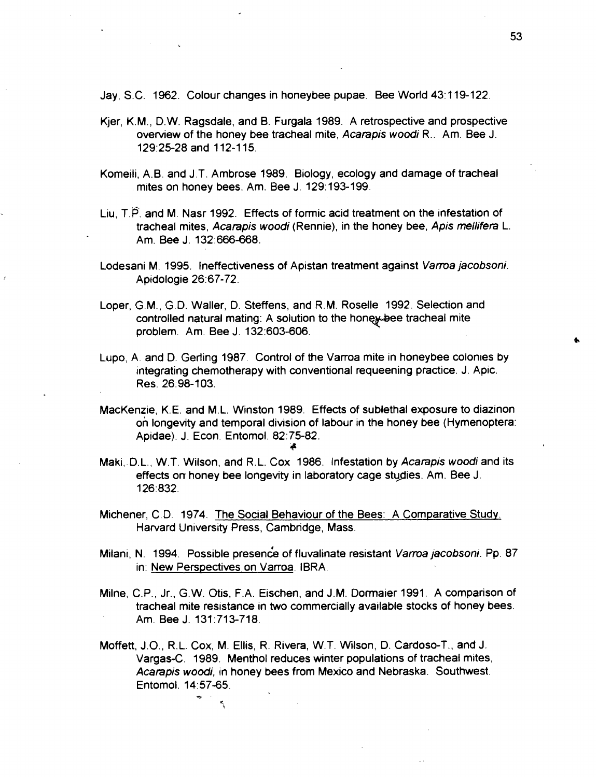Jay, S.C. 1962. Colour changes in honeybee pupae. Bee World 43:119-122.

- Kjer, K.M., D.W. Ragsdale, and B. Furgala 1989. A retrospective and prospective overview of the honey bee tracheal mite, Acarapis woodi R.. Am. Bee J. 129:25-28 and 112-1 15.
- Komeili, A.B. and J.T. Ambrose 1989. Biology, ecology and damage of tracheal mites on honey bees. Am. Bee J. 129: 193-199.
- Liu, T.P. and M. Nasr 1992. Effects of formic acid treatment on the infestation of tracheal mites, Acarapis woodi (Rennie), in the honey bee, Apis **mellifera** L. Am. Bee J. 132:666-668.
- Lodesani M. 1995. Ineffectiveness of Apistan treatment against Varroa jacobsoni. Apidologie 26:67-72.
- Loper, G.M., G.D. Waller, D. Steffens, and R.M. Roselle 1992. Selection and controlled natural mating: A solution to the honey-bee tracheal mite problem. Am. Bee J. 132:603-606.
- Lupo, A. and D. Geriing 1987. Control of the Varroa mite in honeybee colonies by integrating chemotherapy with conventional requeening practice. J. Apic. Res. 26:98-103.
- MacKenzie, K.E. and M.L. Winston 1989. Effects of sublethal exposure to diazinon on longevity and temporal division of labour in the honey bee (Hymenoptera: Apidae). J. Econ. Entomol. 82:75-82. **it**
- Maki, D.L., W.T. Wilson, and R.L. Cox 1986. Infestation by Acarapis woodi and its effects orr honey bee longevity in laboratory cage stupies. Am. Bee J. 126:832.
- Michener, C.D. 1974. The Social Behaviour of the Bees: A Comparative Studv. Harvard University Press, Cambridge, Mass.
- Milani, N. 1994. Possible presence of fluvalinate resistant Varroa jacobsoni. Pp. 87 in: New Perspectives on Varroa. IBRA.
- Milne, C.P., Jr., G.W. Otis, F.A. Eischen, and J.M. Dormaier 1991. A comparison of tracheal mite resistance in two commercially available stocks of honey bees. Am. Bee J. 131:713-718.
- Moffett, J.O., R.L. Cox, M. Ellis, R. Rivera, W.T. Wilson, D. Cardoso-T., and J. Vargas-C. 1989. Menthol reduces winter populations of tracheal mites, Acarapis woodi, in honey bees from Mexico and Nebraska. Southwest. Entomol. 14:57-65.

 $\overline{a}$ 

 $\mathcal{L}$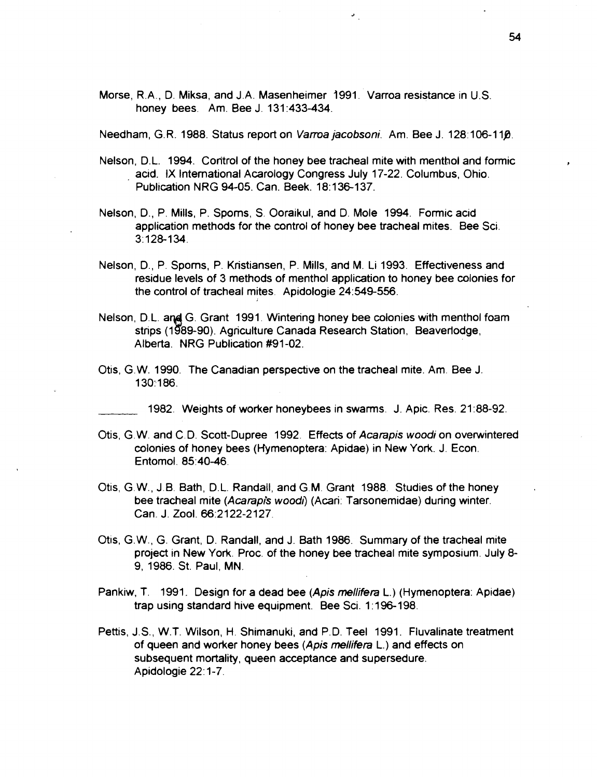Morse, R.A., D. Miksa, and J.A. Masenheimer **j991.** Varroa resistance in U.S. honey bees. Am. Bee J. **131 :433-434.** 

Needham, G. R. **1988.** Status report on Vama jacobsoni. Am. Bee J. **128: 106-1 la.** 

- Nelson, D.L. **1994.** Con'trol of the honey bee tracheal mite with menthol and formic **<sup>p</sup>** aad. **IX** International Acarology Congress July **17-22.** Columbus, Ohio. Publication NRG **94-05.** Can. Beek. **18: 136-1 37.**
- Nelson, D., P. Mills, P. Spoms, S. Ooraikul, and D. Mole **1994.** Formic acid application methods for the control of honey bee tracheal mites. Bee Sci **31128-134.**
- Nelson, D., P. Spoms, P. Kristiansen, P. Mills, and M. Li **1993.** Effectiveness and residue levels of **3** methods of menthol application to honey bee colonies for the control of tracheal mites. Apidologie 24:549-556.
- Nelson, D.L. and G. Grant **1991.** Wintering honey bee colonies with menthol foam strips **(1g89-90).** Agriculture Canada Research Station, Beaverlodge, Alberta. NRG Publication **#91-02.**
- Otis, G.W. **1990.** The Canadian perspective on the tracheal mite. Am. Bee J **l**30:186.

**1982.** Weights of worker honeybees in swarms. J. Apic. Res. **21:88-92.** 

- as, G. W. and C. D. Scott-Dupree **1992.** Effects of Acampis wood; on overwintered colonies of honey bees (Hymenoptera: Apidae) in New York. J. Econ. Entomol. **85:40-46.**
- Otis, G. W., J.B. Bath, D.L. Randall, and G.M. Grant **1988.** Studies of the honey bee tracheal mite (Acarapis woodi) (Acari: Tarsonemidae) during winter. Can. J. Zool. **66:2122-2127.**
- Otis, G.W., G. Grant, D. Randall, and J. Bath **1986.** Summary of the tracheal mite project in New York. Proc. of the honey bee tracheal mite symposium. July **8- 9, 1986.** St. Paul, MN.
- Pankiw, T. **1991.** Design for a dead bee (Apis mellifera L.) (Hymenoptera: Apidae) trap using standard hive equipment. Bee Sci. **1** : **196-198.**
- Pettis, J.S., W.T. Wilson, H. Shimanuki, and P.D. Teel **1991.** Fluvalinate treatment of queen and worker honey bees (Apis mellifera L.) and effects on subsequent mortality, queen acceptance and supersedure. Apidologie **22: 1-7.**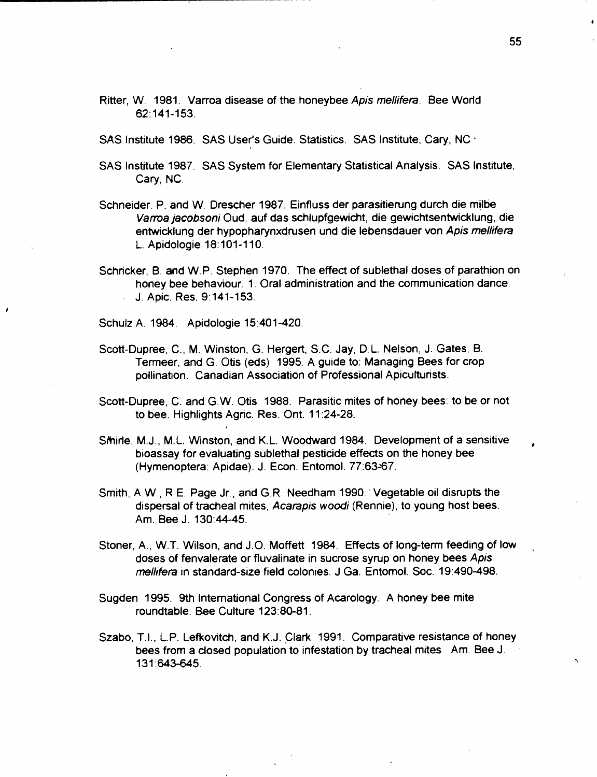Ritter, W. 1981. Varroa disease of the honeybee **Apis mellifera.** Bee World 62:141-153.

SAS Institute 1986. SAS User's Guide: Statistics. SAS Institute, Cary, NC ·

- SAS Institute 1987. SAS System for Elementary Statistical Analysis. SAS Institute, Cary, NC.
- Schneider. P. and W. Drescher 1987. Einfluss der parasitierung durch die milbe Varroa jacobsoni Oud. auf das schlupfgewicht, die gewichtsentwicklung, die entwicklung der hypopharynxdrusen und die lebensdauer von Apis mellifera L. Apidologie 18:101-110.
- Schricker, B. and W.P. Stephen 1970. The effect of sublethal doses of parathion on honey bee behaviour. 1. Oral administration and the communication dance. J. Apic. Res. 9:141-153.

Schulz A. 1984. Apidologie 15:401-420.

- Scott-Dupree, C., M. Winston, G. Hergert, S.C. Jay, D.L. Nelson, J. Gates, B. Termeer, and G. Otis (eds) 1995. A guide to: Managing Bees for crop pollination. Canadian Association of Professional Apicukurists.
- Scott-Dupree, C. and G. W. Otis 1988. Parasitic mites of honey bees: to be or not to bee. Highlights Agric. Res. Ont. 11 :24-28.
- Smirle, M.J., M.L. Winston, and K.L. Woodward 1984. Development of a sensitive bioassay for evaluating sublethal pesticide effects on the honey bee (Hymenoptera: Apidae). J. Econ. Entomol. 77:63-67.
- Smith, A.W., R.E. Page Jr., and G.R. Needham 1990. Vegetable oil disrupts the dispersal of tracheal mites, **Acarapis wood;** (Rennie); to young host bees. Am. Bee J. 130:44-45.
- Stoner, A., W.T. Wilson, and J.O. Moffett 1984. Effects of long-term feeding of low . doses of fenvalerate or fluvalinate in sucrose syrup on honey bees **Apis mellifera** in standard-size field colonies. J Ga. Entomol. Soc. 19:490-498.
- Sugden 1995. 9th International Congress of Acarology. A honey bee mite roundtable. Bee Culture 123:80-81.
- Szabo, T.I., L.P. Lefkovitch, and K.J. Clark 1991. Comparative resistance of honey bees from a closed population to infestation by tracheal mites. Am. Bee J. 131:643-645.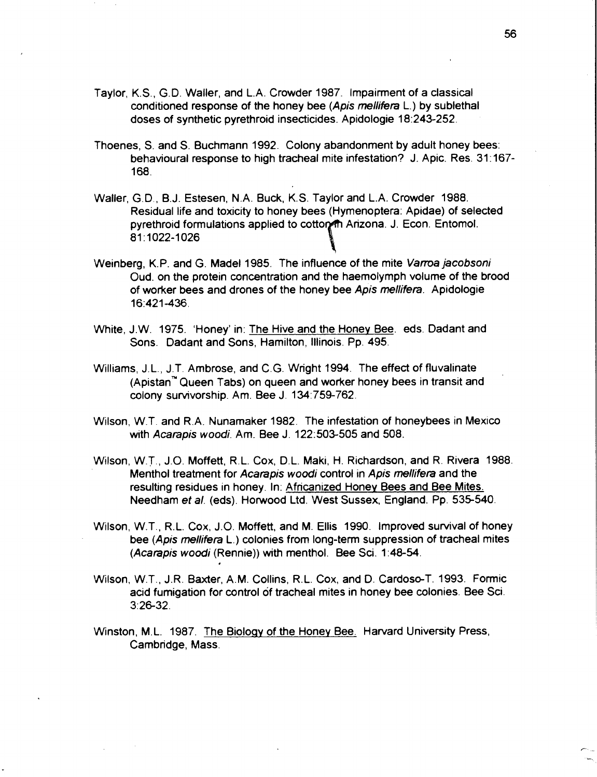- Taylor, K.S., G.D. Waller, and L.A. Crowder 1987. Impairment of a classical conditioned response of the honey bee (Apis mellifera L.) by sublethal doses of synthetic pyrethroid insecticides. Apidologie 18:243-252.
- Thoenes, S. and S. Buchmann 1992. Colony abandonment by adult honey bees: behavioural response to high tracheal mite infestation? J. Apic. Res. 31:167- 168.
- Waller, G.D., B.J. Estesen, N.A. Buck, K.S. Taylor and L.A. Crowder 1988. Residual life and toxicity to honey bees (Hymenoptera: Apidae) of selected pyrethroid formulations applied to cotton Arizona. J. Econ. Entomol. 81:1022-1026
- Weinberg, K.P. and G. Madel 1985. The influence of the mite Varroa jacobsoni Oud. on the protein concentration and the haemolymph volume of the brood of worker bees and drones of the honey bee Apis mellifera. Apidologie 16:421-436.
- White, J.W. 1975. 'Honey' in: The Hive and the Honey Bee. eds. Dadant and Sons. Dadant and Sons, Hamilton, Illinois. Pp. 495.
- Williams, J.L., J.T. Ambrose, and C.G. Wright 1994. The effect of fluvalinate (Apistan<sup>"</sup> Queen Tabs) on queen and worker honey bees in transit and colony survivorship. Am. Bee J. 134:759-762.
- Wilson, W.T. and R.A. Nunamaker 1982. The infestation of honeybees in Mexico wth Acarapis woodi. Am. Bee J. 122:503-505 and 508.
- Wilson, W.T., J.O. Moffett, R.L. Cox, D.L. Maki, H. Richardson, and R. Rivera 1988. Menthol treatment for Acarapis woodi control in Apis mellifera and the resulting residues in honey. In: Africanized Honey Bees and Bee Mites. Needham et al. (eds). Horwood Ltd. West Sussex, England. Pp. 535-540.
- Wilson, W.T., R.L. Cox, J.O. Moffett, and M. Ellis 1990. Improved survival of honey bee (Apis mellifera L.) colonies from long-term suppression of tracheal mites (Acarapis woodi (Rennie)) with menthol. Bee Sci. 1 :48-54.
- Wilson, W.T., J.R. Baxter, A.M. Collins, R. L. Cox, and D. Cardoso-T. 1993. Formic acid fumigation for control of tracheal mites in honey bee colonies. Bee Sci. 3:26-32.
- Winston, M.L. 1987. The Biology of the Honey Bee. Harvard University Press, Cambridge, Mass.